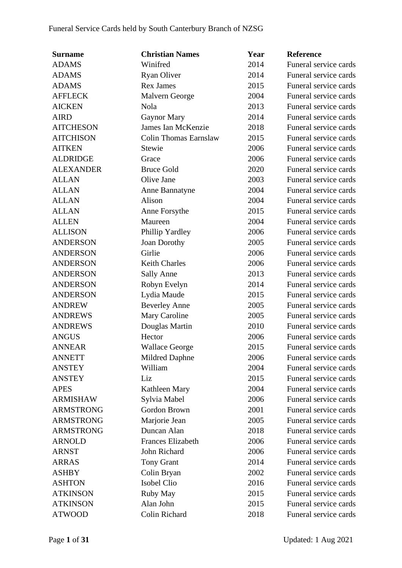| <b>Surname</b>   | <b>Christian Names</b>       | Year | <b>Reference</b>      |
|------------------|------------------------------|------|-----------------------|
| <b>ADAMS</b>     | Winifred                     | 2014 | Funeral service cards |
| <b>ADAMS</b>     | <b>Ryan Oliver</b>           | 2014 | Funeral service cards |
| <b>ADAMS</b>     | <b>Rex James</b>             | 2015 | Funeral service cards |
| <b>AFFLECK</b>   | Malvern George               | 2004 | Funeral service cards |
| <b>AICKEN</b>    | <b>Nola</b>                  | 2013 | Funeral service cards |
| <b>AIRD</b>      | <b>Gaynor Mary</b>           | 2014 | Funeral service cards |
| <b>AITCHESON</b> | James Ian McKenzie           | 2018 | Funeral service cards |
| <b>AITCHISON</b> | <b>Colin Thomas Earnslaw</b> | 2015 | Funeral service cards |
| <b>AITKEN</b>    | Stewie                       | 2006 | Funeral service cards |
| <b>ALDRIDGE</b>  | Grace                        | 2006 | Funeral service cards |
| <b>ALEXANDER</b> | <b>Bruce Gold</b>            | 2020 | Funeral service cards |
| <b>ALLAN</b>     | Olive Jane                   | 2003 | Funeral service cards |
| <b>ALLAN</b>     | Anne Bannatyne               | 2004 | Funeral service cards |
| <b>ALLAN</b>     | Alison                       | 2004 | Funeral service cards |
| <b>ALLAN</b>     | Anne Forsythe                | 2015 | Funeral service cards |
| <b>ALLEN</b>     | Maureen                      | 2004 | Funeral service cards |
| <b>ALLISON</b>   | Phillip Yardley              | 2006 | Funeral service cards |
| <b>ANDERSON</b>  | Joan Dorothy                 | 2005 | Funeral service cards |
| <b>ANDERSON</b>  | Girlie                       | 2006 | Funeral service cards |
| <b>ANDERSON</b>  | <b>Keith Charles</b>         | 2006 | Funeral service cards |
| <b>ANDERSON</b>  | <b>Sally Anne</b>            | 2013 | Funeral service cards |
| <b>ANDERSON</b>  | Robyn Evelyn                 | 2014 | Funeral service cards |
| <b>ANDERSON</b>  | Lydia Maude                  | 2015 | Funeral service cards |
| <b>ANDREW</b>    | <b>Beverley Anne</b>         | 2005 | Funeral service cards |
| <b>ANDREWS</b>   | Mary Caroline                | 2005 | Funeral service cards |
| <b>ANDREWS</b>   | Douglas Martin               | 2010 | Funeral service cards |
| <b>ANGUS</b>     | Hector                       | 2006 | Funeral service cards |
| <b>ANNEAR</b>    | <b>Wallace George</b>        | 2015 | Funeral service cards |
| <b>ANNETT</b>    | Mildred Daphne               | 2006 | Funeral service cards |
| <b>ANSTEY</b>    | William                      | 2004 | Funeral service cards |
| <b>ANSTEY</b>    | Liz                          | 2015 | Funeral service cards |
| <b>APES</b>      | Kathleen Mary                | 2004 | Funeral service cards |
| <b>ARMISHAW</b>  | Sylvia Mabel                 | 2006 | Funeral service cards |
| <b>ARMSTRONG</b> | Gordon Brown                 | 2001 | Funeral service cards |
| <b>ARMSTRONG</b> | Marjorie Jean                | 2005 | Funeral service cards |
| <b>ARMSTRONG</b> | Duncan Alan                  | 2018 | Funeral service cards |
| <b>ARNOLD</b>    | <b>Frances Elizabeth</b>     | 2006 | Funeral service cards |
| <b>ARNST</b>     | John Richard                 | 2006 | Funeral service cards |
| <b>ARRAS</b>     | <b>Tony Grant</b>            | 2014 | Funeral service cards |
| <b>ASHBY</b>     | Colin Bryan                  | 2002 | Funeral service cards |
| <b>ASHTON</b>    | Isobel Clio                  | 2016 | Funeral service cards |
| <b>ATKINSON</b>  | Ruby May                     | 2015 | Funeral service cards |
| <b>ATKINSON</b>  | Alan John                    | 2015 | Funeral service cards |
| <b>ATWOOD</b>    | Colin Richard                | 2018 | Funeral service cards |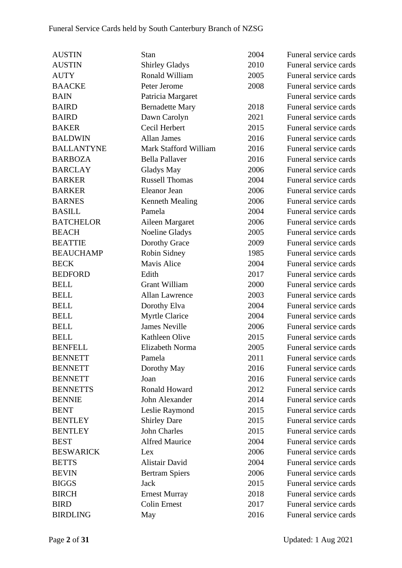| <b>AUSTIN</b>     | Stan                   | 2004 | Funeral service cards |
|-------------------|------------------------|------|-----------------------|
| <b>AUSTIN</b>     | <b>Shirley Gladys</b>  | 2010 | Funeral service cards |
| <b>AUTY</b>       | Ronald William         | 2005 | Funeral service cards |
| <b>BAACKE</b>     | Peter Jerome           | 2008 | Funeral service cards |
| <b>BAIN</b>       | Patricia Margaret      |      | Funeral service cards |
| <b>BAIRD</b>      | <b>Bernadette Mary</b> | 2018 | Funeral service cards |
| <b>BAIRD</b>      | Dawn Carolyn           | 2021 | Funeral service cards |
| <b>BAKER</b>      | Cecil Herbert          | 2015 | Funeral service cards |
| <b>BALDWIN</b>    | <b>Allan James</b>     | 2016 | Funeral service cards |
| <b>BALLANTYNE</b> | Mark Stafford William  | 2016 | Funeral service cards |
| <b>BARBOZA</b>    | <b>Bella Pallaver</b>  | 2016 | Funeral service cards |
| <b>BARCLAY</b>    | Gladys May             | 2006 | Funeral service cards |
| <b>BARKER</b>     | <b>Russell Thomas</b>  | 2004 | Funeral service cards |
| <b>BARKER</b>     | Eleanor Jean           | 2006 | Funeral service cards |
| <b>BARNES</b>     | <b>Kenneth Mealing</b> | 2006 | Funeral service cards |
| <b>BASILL</b>     | Pamela                 | 2004 | Funeral service cards |
| <b>BATCHELOR</b>  | Aileen Margaret        | 2006 | Funeral service cards |
| <b>BEACH</b>      | Noeline Gladys         | 2005 | Funeral service cards |
| <b>BEATTIE</b>    | Dorothy Grace          | 2009 | Funeral service cards |
| <b>BEAUCHAMP</b>  | Robin Sidney           | 1985 | Funeral service cards |
| <b>BECK</b>       | Mavis Alice            | 2004 | Funeral service cards |
| <b>BEDFORD</b>    | Edith                  | 2017 | Funeral service cards |
| <b>BELL</b>       | <b>Grant William</b>   | 2000 | Funeral service cards |
| <b>BELL</b>       | <b>Allan Lawrence</b>  | 2003 | Funeral service cards |
| <b>BELL</b>       | Dorothy Elva           | 2004 | Funeral service cards |
| <b>BELL</b>       | <b>Myrtle Clarice</b>  | 2004 | Funeral service cards |
| <b>BELL</b>       | <b>James Neville</b>   | 2006 | Funeral service cards |
| <b>BELL</b>       | Kathleen Olive         | 2015 | Funeral service cards |
| <b>BENFELL</b>    | Elizabeth Norma        | 2005 | Funeral service cards |
| <b>BENNETT</b>    | Pamela                 | 2011 | Funeral service cards |
| <b>BENNETT</b>    | Dorothy May            | 2016 | Funeral service cards |
| <b>BENNETT</b>    | Joan                   | 2016 | Funeral service cards |
| <b>BENNETTS</b>   | Ronald Howard          | 2012 | Funeral service cards |
| <b>BENNIE</b>     | John Alexander         | 2014 | Funeral service cards |
| <b>BENT</b>       | Leslie Raymond         | 2015 | Funeral service cards |
| <b>BENTLEY</b>    | <b>Shirley Dare</b>    | 2015 | Funeral service cards |
| <b>BENTLEY</b>    | John Charles           | 2015 | Funeral service cards |
| <b>BEST</b>       | <b>Alfred Maurice</b>  | 2004 | Funeral service cards |
| <b>BESWARICK</b>  | Lex                    | 2006 | Funeral service cards |
| <b>BETTS</b>      | Alistair David         | 2004 | Funeral service cards |
| <b>BEVIN</b>      | <b>Bertram Spiers</b>  | 2006 | Funeral service cards |
| <b>BIGGS</b>      | Jack                   | 2015 | Funeral service cards |
| <b>BIRCH</b>      | <b>Ernest Murray</b>   | 2018 | Funeral service cards |
| <b>BIRD</b>       | <b>Colin Ernest</b>    | 2017 | Funeral service cards |
| <b>BIRDLING</b>   | May                    | 2016 | Funeral service cards |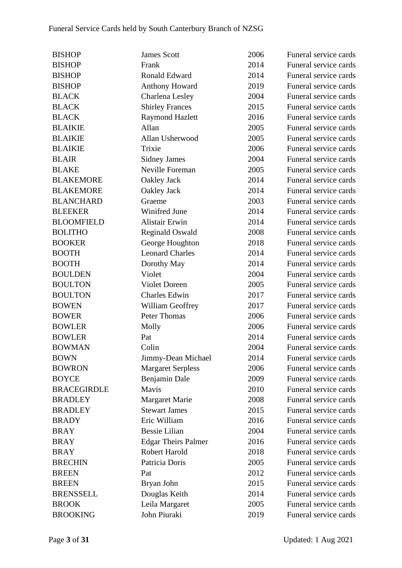| <b>BISHOP</b>      | <b>James Scott</b>         | 2006 | Funeral service cards |
|--------------------|----------------------------|------|-----------------------|
| <b>BISHOP</b>      | Frank                      | 2014 | Funeral service cards |
| <b>BISHOP</b>      | Ronald Edward              | 2014 | Funeral service cards |
| <b>BISHOP</b>      | <b>Anthony Howard</b>      | 2019 | Funeral service cards |
| <b>BLACK</b>       | Charlena Lesley            | 2004 | Funeral service cards |
| <b>BLACK</b>       | <b>Shirley Frances</b>     | 2015 | Funeral service cards |
| <b>BLACK</b>       | <b>Raymond Hazlett</b>     | 2016 | Funeral service cards |
| <b>BLAIKIE</b>     | Allan                      | 2005 | Funeral service cards |
| <b>BLAIKIE</b>     | Allan Usherwood            | 2005 | Funeral service cards |
| <b>BLAIKIE</b>     | Trixie                     | 2006 | Funeral service cards |
| <b>BLAIR</b>       | <b>Sidney James</b>        | 2004 | Funeral service cards |
| <b>BLAKE</b>       | Neville Foreman            | 2005 | Funeral service cards |
| <b>BLAKEMORE</b>   | Oakley Jack                | 2014 | Funeral service cards |
| <b>BLAKEMORE</b>   | Oakley Jack                | 2014 | Funeral service cards |
| <b>BLANCHARD</b>   | Graeme                     | 2003 | Funeral service cards |
| <b>BLEEKER</b>     | Winifred June              | 2014 | Funeral service cards |
| <b>BLOOMFIELD</b>  | <b>Alistair Erwin</b>      | 2014 | Funeral service cards |
| <b>BOLITHO</b>     | <b>Reginald Oswald</b>     | 2008 | Funeral service cards |
| <b>BOOKER</b>      | George Houghton            | 2018 | Funeral service cards |
| <b>BOOTH</b>       | <b>Leonard Charles</b>     | 2014 | Funeral service cards |
| <b>BOOTH</b>       | Dorothy May                | 2014 | Funeral service cards |
| <b>BOULDEN</b>     | Violet                     | 2004 | Funeral service cards |
| <b>BOULTON</b>     | <b>Violet Doreen</b>       | 2005 | Funeral service cards |
| <b>BOULTON</b>     | <b>Charles Edwin</b>       | 2017 | Funeral service cards |
| <b>BOWEN</b>       | William Geoffrey           | 2017 | Funeral service cards |
| <b>BOWER</b>       | Peter Thomas               | 2006 | Funeral service cards |
| <b>BOWLER</b>      | Molly                      | 2006 | Funeral service cards |
| <b>BOWLER</b>      | Pat                        | 2014 | Funeral service cards |
| <b>BOWMAN</b>      | Colin                      | 2004 | Funeral service cards |
| <b>BOWN</b>        | Jimmy-Dean Michael         | 2014 | Funeral service cards |
| <b>BOWRON</b>      | <b>Margaret Serpless</b>   | 2006 | Funeral service cards |
| <b>BOYCE</b>       | Benjamin Dale              | 2009 | Funeral service cards |
| <b>BRACEGIRDLE</b> | Mavis                      | 2010 | Funeral service cards |
| <b>BRADLEY</b>     | Margaret Marie             | 2008 | Funeral service cards |
| <b>BRADLEY</b>     | <b>Stewart James</b>       | 2015 | Funeral service cards |
| <b>BRADY</b>       | Eric William               | 2016 | Funeral service cards |
| <b>BRAY</b>        | <b>Bessie Lilian</b>       | 2004 | Funeral service cards |
| <b>BRAY</b>        | <b>Edgar Theirs Palmer</b> | 2016 | Funeral service cards |
| <b>BRAY</b>        | Robert Harold              | 2018 | Funeral service cards |
| <b>BRECHIN</b>     | Patricia Doris             | 2005 | Funeral service cards |
| <b>BREEN</b>       | Pat                        | 2012 | Funeral service cards |
| <b>BREEN</b>       | Bryan John                 | 2015 | Funeral service cards |
| <b>BRENSSELL</b>   | Douglas Keith              | 2014 | Funeral service cards |
| <b>BROOK</b>       | Leila Margaret             | 2005 | Funeral service cards |
| <b>BROOKING</b>    | John Piuraki               | 2019 | Funeral service cards |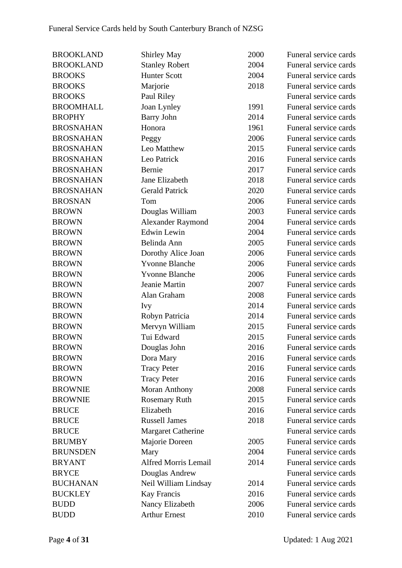| <b>BROOKLAND</b> | <b>Shirley May</b>          | 2000 | Funeral service cards |
|------------------|-----------------------------|------|-----------------------|
| <b>BROOKLAND</b> | <b>Stanley Robert</b>       | 2004 | Funeral service cards |
| <b>BROOKS</b>    | <b>Hunter Scott</b>         | 2004 | Funeral service cards |
| <b>BROOKS</b>    | Marjorie                    | 2018 | Funeral service cards |
| <b>BROOKS</b>    | Paul Riley                  |      | Funeral service cards |
| <b>BROOMHALL</b> | Joan Lynley                 | 1991 | Funeral service cards |
| <b>BROPHY</b>    | <b>Barry John</b>           | 2014 | Funeral service cards |
| <b>BROSNAHAN</b> | Honora                      | 1961 | Funeral service cards |
| <b>BROSNAHAN</b> | Peggy                       | 2006 | Funeral service cards |
| <b>BROSNAHAN</b> | Leo Matthew                 | 2015 | Funeral service cards |
| <b>BROSNAHAN</b> | Leo Patrick                 | 2016 | Funeral service cards |
| <b>BROSNAHAN</b> | Bernie                      | 2017 | Funeral service cards |
| <b>BROSNAHAN</b> | Jane Elizabeth              | 2018 | Funeral service cards |
| <b>BROSNAHAN</b> | <b>Gerald Patrick</b>       | 2020 | Funeral service cards |
| <b>BROSNAN</b>   | Tom                         | 2006 | Funeral service cards |
| <b>BROWN</b>     | Douglas William             | 2003 | Funeral service cards |
| <b>BROWN</b>     | <b>Alexander Raymond</b>    | 2004 | Funeral service cards |
| <b>BROWN</b>     | <b>Edwin Lewin</b>          | 2004 | Funeral service cards |
| <b>BROWN</b>     | Belinda Ann                 | 2005 | Funeral service cards |
| <b>BROWN</b>     | Dorothy Alice Joan          | 2006 | Funeral service cards |
| <b>BROWN</b>     | <b>Yvonne Blanche</b>       | 2006 | Funeral service cards |
| <b>BROWN</b>     | <b>Yvonne Blanche</b>       | 2006 | Funeral service cards |
| <b>BROWN</b>     | Jeanie Martin               | 2007 | Funeral service cards |
| <b>BROWN</b>     | Alan Graham                 | 2008 | Funeral service cards |
| <b>BROWN</b>     | <b>Ivy</b>                  | 2014 | Funeral service cards |
| <b>BROWN</b>     | Robyn Patricia              | 2014 | Funeral service cards |
| <b>BROWN</b>     | Mervyn William              | 2015 | Funeral service cards |
| <b>BROWN</b>     | Tui Edward                  | 2015 | Funeral service cards |
| <b>BROWN</b>     | Douglas John                | 2016 | Funeral service cards |
| <b>BROWN</b>     | Dora Mary                   | 2016 | Funeral service cards |
| <b>BROWN</b>     | <b>Tracy Peter</b>          | 2016 | Funeral service cards |
| <b>BROWN</b>     | <b>Tracy Peter</b>          | 2016 | Funeral service cards |
| <b>BROWNIE</b>   | <b>Moran Anthony</b>        | 2008 | Funeral service cards |
| <b>BROWNIE</b>   | <b>Rosemary Ruth</b>        | 2015 | Funeral service cards |
| <b>BRUCE</b>     | Elizabeth                   | 2016 | Funeral service cards |
| <b>BRUCE</b>     | <b>Russell James</b>        | 2018 | Funeral service cards |
| <b>BRUCE</b>     | <b>Margaret Catherine</b>   |      | Funeral service cards |
| <b>BRUMBY</b>    | Majorie Doreen              | 2005 | Funeral service cards |
| <b>BRUNSDEN</b>  | Mary                        | 2004 | Funeral service cards |
| <b>BRYANT</b>    | <b>Alfred Morris Lemail</b> | 2014 | Funeral service cards |
| <b>BRYCE</b>     | Douglas Andrew              |      | Funeral service cards |
| <b>BUCHANAN</b>  | Neil William Lindsay        | 2014 | Funeral service cards |
| <b>BUCKLEY</b>   | <b>Kay Francis</b>          | 2016 | Funeral service cards |
| <b>BUDD</b>      | Nancy Elizabeth             | 2006 | Funeral service cards |
| <b>BUDD</b>      | <b>Arthur Ernest</b>        | 2010 | Funeral service cards |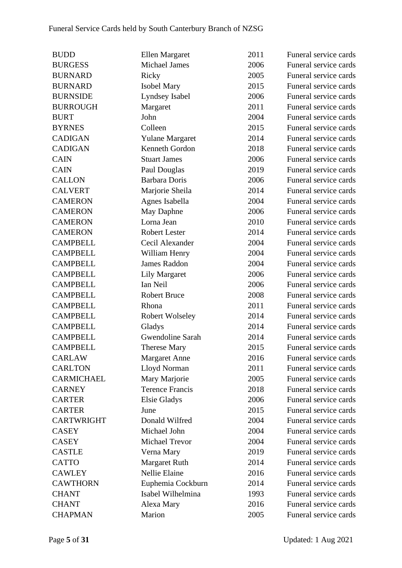| <b>BUDD</b>       | Ellen Margaret         | 2011 | Funeral service cards |
|-------------------|------------------------|------|-----------------------|
| <b>BURGESS</b>    | Michael James          | 2006 | Funeral service cards |
| <b>BURNARD</b>    | Ricky                  | 2005 | Funeral service cards |
| <b>BURNARD</b>    | <b>Isobel Mary</b>     | 2015 | Funeral service cards |
| <b>BURNSIDE</b>   | Lyndsey Isabel         | 2006 | Funeral service cards |
| <b>BURROUGH</b>   | Margaret               | 2011 | Funeral service cards |
| <b>BURT</b>       | John                   | 2004 | Funeral service cards |
| <b>BYRNES</b>     | Colleen                | 2015 | Funeral service cards |
| <b>CADIGAN</b>    | <b>Yulane Margaret</b> | 2014 | Funeral service cards |
| <b>CADIGAN</b>    | Kenneth Gordon         | 2018 | Funeral service cards |
| <b>CAIN</b>       | <b>Stuart James</b>    | 2006 | Funeral service cards |
| <b>CAIN</b>       | Paul Douglas           | 2019 | Funeral service cards |
| <b>CALLON</b>     | <b>Barbara Doris</b>   | 2006 | Funeral service cards |
| <b>CALVERT</b>    | Marjorie Sheila        | 2014 | Funeral service cards |
| <b>CAMERON</b>    | Agnes Isabella         | 2004 | Funeral service cards |
| <b>CAMERON</b>    | May Daphne             | 2006 | Funeral service cards |
| <b>CAMERON</b>    | Lorna Jean             | 2010 | Funeral service cards |
| <b>CAMERON</b>    | <b>Robert Lester</b>   | 2014 | Funeral service cards |
| <b>CAMPBELL</b>   | Cecil Alexander        | 2004 | Funeral service cards |
| <b>CAMPBELL</b>   | William Henry          | 2004 | Funeral service cards |
| <b>CAMPBELL</b>   | <b>James Raddon</b>    | 2004 | Funeral service cards |
| <b>CAMPBELL</b>   | <b>Lily Margaret</b>   | 2006 | Funeral service cards |
| <b>CAMPBELL</b>   | Ian Neil               | 2006 | Funeral service cards |
| <b>CAMPBELL</b>   | <b>Robert Bruce</b>    | 2008 | Funeral service cards |
| <b>CAMPBELL</b>   | Rhona                  | 2011 | Funeral service cards |
| <b>CAMPBELL</b>   | <b>Robert Wolseley</b> | 2014 | Funeral service cards |
| <b>CAMPBELL</b>   | Gladys                 | 2014 | Funeral service cards |
| <b>CAMPBELL</b>   | Gwendoline Sarah       | 2014 | Funeral service cards |
| <b>CAMPBELL</b>   | <b>Therese Mary</b>    | 2015 | Funeral service cards |
| <b>CARLAW</b>     | <b>Margaret Anne</b>   | 2016 | Funeral service cards |
| <b>CARLTON</b>    | Lloyd Norman           | 2011 | Funeral service cards |
| <b>CARMICHAEL</b> | Mary Marjorie          | 2005 | Funeral service cards |
| <b>CARNEY</b>     | <b>Terence Francis</b> | 2018 | Funeral service cards |
| <b>CARTER</b>     | <b>Elsie Gladys</b>    | 2006 | Funeral service cards |
| <b>CARTER</b>     | June                   | 2015 | Funeral service cards |
| <b>CARTWRIGHT</b> | Donald Wilfred         | 2004 | Funeral service cards |
| <b>CASEY</b>      | Michael John           | 2004 | Funeral service cards |
| <b>CASEY</b>      | Michael Trevor         | 2004 | Funeral service cards |
| <b>CASTLE</b>     | Verna Mary             | 2019 | Funeral service cards |
| <b>CATTO</b>      | <b>Margaret Ruth</b>   | 2014 | Funeral service cards |
| <b>CAWLEY</b>     | Nellie Elaine          | 2016 | Funeral service cards |
| <b>CAWTHORN</b>   | Euphemia Cockburn      | 2014 | Funeral service cards |
| <b>CHANT</b>      | Isabel Wilhelmina      | 1993 | Funeral service cards |
| <b>CHANT</b>      | Alexa Mary             | 2016 | Funeral service cards |
| <b>CHAPMAN</b>    | Marion                 | 2005 | Funeral service cards |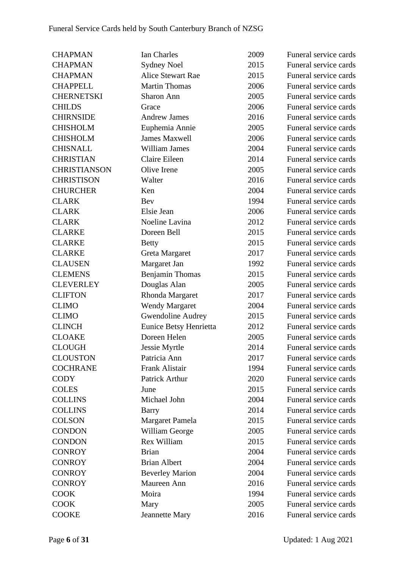| <b>CHAPMAN</b>      | Ian Charles            | 2009 | Funeral service cards |
|---------------------|------------------------|------|-----------------------|
| <b>CHAPMAN</b>      | <b>Sydney Noel</b>     | 2015 | Funeral service cards |
| <b>CHAPMAN</b>      | Alice Stewart Rae      | 2015 | Funeral service cards |
| <b>CHAPPELL</b>     | <b>Martin Thomas</b>   | 2006 | Funeral service cards |
| <b>CHERNETSKI</b>   | Sharon Ann             | 2005 | Funeral service cards |
| <b>CHILDS</b>       | Grace                  | 2006 | Funeral service cards |
| <b>CHIRNSIDE</b>    | <b>Andrew James</b>    | 2016 | Funeral service cards |
| <b>CHISHOLM</b>     | Euphemia Annie         | 2005 | Funeral service cards |
| <b>CHISHOLM</b>     | <b>James Maxwell</b>   | 2006 | Funeral service cards |
| <b>CHISNALL</b>     | <b>William James</b>   | 2004 | Funeral service cards |
| <b>CHRISTIAN</b>    | Claire Eileen          | 2014 | Funeral service cards |
| <b>CHRISTIANSON</b> | Olive Irene            | 2005 | Funeral service cards |
| <b>CHRISTISON</b>   | Walter                 | 2016 | Funeral service cards |
| <b>CHURCHER</b>     | Ken                    | 2004 | Funeral service cards |
| <b>CLARK</b>        | Bev                    | 1994 | Funeral service cards |
| <b>CLARK</b>        | Elsie Jean             | 2006 | Funeral service cards |
| <b>CLARK</b>        | Noeline Lavina         | 2012 | Funeral service cards |
| <b>CLARKE</b>       | Doreen Bell            | 2015 | Funeral service cards |
| <b>CLARKE</b>       | <b>Betty</b>           | 2015 | Funeral service cards |
| <b>CLARKE</b>       | Greta Margaret         | 2017 | Funeral service cards |
| <b>CLAUSEN</b>      | Margaret Jan           | 1992 | Funeral service cards |
| <b>CLEMENS</b>      | Benjamin Thomas        | 2015 | Funeral service cards |
| <b>CLEVERLEY</b>    | Douglas Alan           | 2005 | Funeral service cards |
| <b>CLIFTON</b>      | Rhonda Margaret        | 2017 | Funeral service cards |
| <b>CLIMO</b>        | <b>Wendy Margaret</b>  | 2004 | Funeral service cards |
| <b>CLIMO</b>        | Gwendoline Audrey      | 2015 | Funeral service cards |
| <b>CLINCH</b>       | Eunice Betsy Henrietta | 2012 | Funeral service cards |
| <b>CLOAKE</b>       | Doreen Helen           | 2005 | Funeral service cards |
| <b>CLOUGH</b>       | Jessie Myrtle          | 2014 | Funeral service cards |
| <b>CLOUSTON</b>     | Patricia Ann           | 2017 | Funeral service cards |
| <b>COCHRANE</b>     | Frank Alistair         | 1994 | Funeral service cards |
| <b>CODY</b>         | Patrick Arthur         | 2020 | Funeral service cards |
| <b>COLES</b>        | June                   | 2015 | Funeral service cards |
| <b>COLLINS</b>      | Michael John           | 2004 | Funeral service cards |
| <b>COLLINS</b>      | <b>Barry</b>           | 2014 | Funeral service cards |
| <b>COLSON</b>       | Margaret Pamela        | 2015 | Funeral service cards |
| <b>CONDON</b>       | William George         | 2005 | Funeral service cards |
| <b>CONDON</b>       | Rex William            | 2015 | Funeral service cards |
| <b>CONROY</b>       | <b>Brian</b>           | 2004 | Funeral service cards |
| <b>CONROY</b>       | <b>Brian Albert</b>    | 2004 | Funeral service cards |
| <b>CONROY</b>       | <b>Beverley Marion</b> | 2004 | Funeral service cards |
| <b>CONROY</b>       | Maureen Ann            | 2016 | Funeral service cards |
| <b>COOK</b>         | Moira                  | 1994 | Funeral service cards |
| <b>COOK</b>         | Mary                   | 2005 | Funeral service cards |
| <b>COOKE</b>        | <b>Jeannette Mary</b>  | 2016 | Funeral service cards |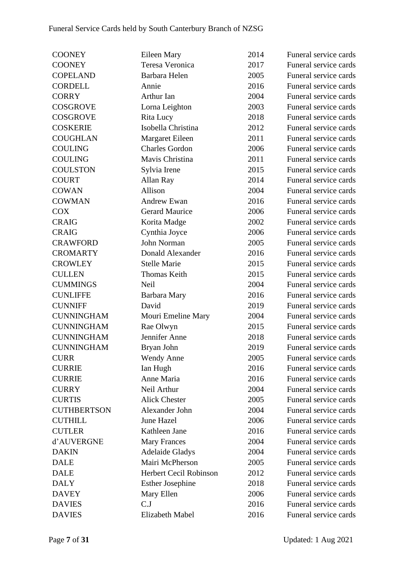| <b>COONEY</b>      | Eileen Mary             | 2014 | Funeral service cards |
|--------------------|-------------------------|------|-----------------------|
| <b>COONEY</b>      | Teresa Veronica         | 2017 | Funeral service cards |
| <b>COPELAND</b>    | Barbara Helen           | 2005 | Funeral service cards |
| <b>CORDELL</b>     | Annie                   | 2016 | Funeral service cards |
| <b>CORRY</b>       | Arthur Ian              | 2004 | Funeral service cards |
| <b>COSGROVE</b>    | Lorna Leighton          | 2003 | Funeral service cards |
| <b>COSGROVE</b>    | Rita Lucy               | 2018 | Funeral service cards |
| <b>COSKERIE</b>    | Isobella Christina      | 2012 | Funeral service cards |
| <b>COUGHLAN</b>    | Margaret Eileen         | 2011 | Funeral service cards |
| <b>COULING</b>     | <b>Charles Gordon</b>   | 2006 | Funeral service cards |
| <b>COULING</b>     | Mavis Christina         | 2011 | Funeral service cards |
| <b>COULSTON</b>    | Sylvia Irene            | 2015 | Funeral service cards |
| <b>COURT</b>       | Allan Ray               | 2014 | Funeral service cards |
| <b>COWAN</b>       | Allison                 | 2004 | Funeral service cards |
| <b>COWMAN</b>      | <b>Andrew Ewan</b>      | 2016 | Funeral service cards |
| <b>COX</b>         | <b>Gerard Maurice</b>   | 2006 | Funeral service cards |
| <b>CRAIG</b>       | Korita Madge            | 2002 | Funeral service cards |
| <b>CRAIG</b>       | Cynthia Joyce           | 2006 | Funeral service cards |
| <b>CRAWFORD</b>    | John Norman             | 2005 | Funeral service cards |
| <b>CROMARTY</b>    | Donald Alexander        | 2016 | Funeral service cards |
| <b>CROWLEY</b>     | <b>Stelle Marie</b>     | 2015 | Funeral service cards |
| <b>CULLEN</b>      | Thomas Keith            | 2015 | Funeral service cards |
| <b>CUMMINGS</b>    | Neil                    | 2004 | Funeral service cards |
| <b>CUNLIFFE</b>    | Barbara Mary            | 2016 | Funeral service cards |
| <b>CUNNIFF</b>     | David                   | 2019 | Funeral service cards |
| <b>CUNNINGHAM</b>  | Mouri Emeline Mary      | 2004 | Funeral service cards |
| <b>CUNNINGHAM</b>  | Rae Olwyn               | 2015 | Funeral service cards |
| <b>CUNNINGHAM</b>  | Jennifer Anne           | 2018 | Funeral service cards |
| <b>CUNNINGHAM</b>  | Bryan John              | 2019 | Funeral service cards |
| <b>CURR</b>        | <b>Wendy Anne</b>       | 2005 | Funeral service cards |
| <b>CURRIE</b>      | Ian Hugh                | 2016 | Funeral service cards |
| <b>CURRIE</b>      | Anne Maria              | 2016 | Funeral service cards |
| <b>CURRY</b>       | Neil Arthur             | 2004 | Funeral service cards |
| <b>CURTIS</b>      | <b>Alick Chester</b>    | 2005 | Funeral service cards |
| <b>CUTHBERTSON</b> | Alexander John          | 2004 | Funeral service cards |
| <b>CUTHILL</b>     | June Hazel              | 2006 | Funeral service cards |
| <b>CUTLER</b>      | Kathleen Jane           | 2016 | Funeral service cards |
| d'AUVERGNE         | <b>Mary Frances</b>     | 2004 | Funeral service cards |
| <b>DAKIN</b>       | <b>Adelaide Gladys</b>  | 2004 | Funeral service cards |
| <b>DALE</b>        | Mairi McPherson         | 2005 | Funeral service cards |
| <b>DALE</b>        | Herbert Cecil Robinson  | 2012 | Funeral service cards |
| <b>DALY</b>        | <b>Esther Josephine</b> | 2018 | Funeral service cards |
| <b>DAVEY</b>       | Mary Ellen              | 2006 | Funeral service cards |
| <b>DAVIES</b>      | $C_{\cdot}J$            | 2016 | Funeral service cards |
| <b>DAVIES</b>      | Elizabeth Mabel         | 2016 | Funeral service cards |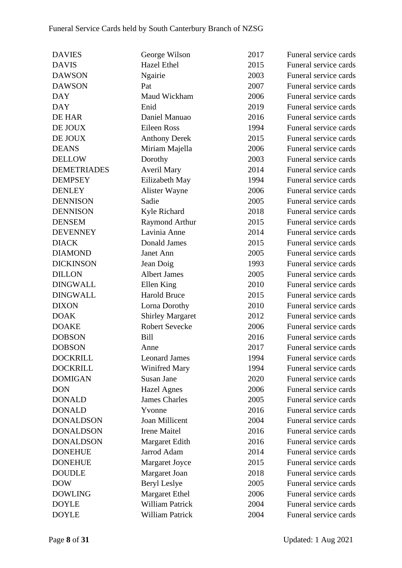| <b>DAVIES</b>      | George Wilson           | 2017 | Funeral service cards |
|--------------------|-------------------------|------|-----------------------|
| <b>DAVIS</b>       | <b>Hazel Ethel</b>      | 2015 | Funeral service cards |
| <b>DAWSON</b>      | Ngairie                 | 2003 | Funeral service cards |
| <b>DAWSON</b>      | Pat                     | 2007 | Funeral service cards |
| <b>DAY</b>         | Maud Wickham            | 2006 | Funeral service cards |
| <b>DAY</b>         | Enid                    | 2019 | Funeral service cards |
| DE HAR             | Daniel Manuao           | 2016 | Funeral service cards |
| DE JOUX            | <b>Eileen Ross</b>      | 1994 | Funeral service cards |
| DE JOUX            | <b>Anthony Derek</b>    | 2015 | Funeral service cards |
| <b>DEANS</b>       | Miriam Majella          | 2006 | Funeral service cards |
| <b>DELLOW</b>      | Dorothy                 | 2003 | Funeral service cards |
| <b>DEMETRIADES</b> | <b>Averil Mary</b>      | 2014 | Funeral service cards |
| <b>DEMPSEY</b>     | Eilizabeth May          | 1994 | Funeral service cards |
| <b>DENLEY</b>      | Alister Wayne           | 2006 | Funeral service cards |
| <b>DENNISON</b>    | Sadie                   | 2005 | Funeral service cards |
| <b>DENNISON</b>    | Kyle Richard            | 2018 | Funeral service cards |
| <b>DENSEM</b>      | Raymond Arthur          | 2015 | Funeral service cards |
| <b>DEVENNEY</b>    | Lavinia Anne            | 2014 | Funeral service cards |
| <b>DIACK</b>       | Donald James            | 2015 | Funeral service cards |
| <b>DIAMOND</b>     | Janet Ann               | 2005 | Funeral service cards |
| <b>DICKINSON</b>   | Jean Doig               | 1993 | Funeral service cards |
| <b>DILLON</b>      | <b>Albert James</b>     | 2005 | Funeral service cards |
| <b>DINGWALL</b>    | Ellen King              | 2010 | Funeral service cards |
| <b>DINGWALL</b>    | <b>Harold Bruce</b>     | 2015 | Funeral service cards |
| <b>DIXON</b>       | Lorna Dorothy           | 2010 | Funeral service cards |
| <b>DOAK</b>        | <b>Shirley Margaret</b> | 2012 | Funeral service cards |
| <b>DOAKE</b>       | <b>Robert Sevecke</b>   | 2006 | Funeral service cards |
| <b>DOBSON</b>      | <b>Bill</b>             | 2016 | Funeral service cards |
| <b>DOBSON</b>      | Anne                    | 2017 | Funeral service cards |
| <b>DOCKRILL</b>    | <b>Leonard James</b>    | 1994 | Funeral service cards |
| <b>DOCKRILL</b>    | Winifred Mary           | 1994 | Funeral service cards |
| <b>DOMIGAN</b>     | Susan Jane              | 2020 | Funeral service cards |
| <b>DON</b>         | <b>Hazel Agnes</b>      | 2006 | Funeral service cards |
| <b>DONALD</b>      | <b>James Charles</b>    | 2005 | Funeral service cards |
| <b>DONALD</b>      | Yvonne                  | 2016 | Funeral service cards |
| <b>DONALDSON</b>   | Joan Millicent          | 2004 | Funeral service cards |
| <b>DONALDSON</b>   | <b>Irene Maitel</b>     | 2016 | Funeral service cards |
| <b>DONALDSON</b>   | Margaret Edith          | 2016 | Funeral service cards |
| <b>DONEHUE</b>     | Jarrod Adam             | 2014 | Funeral service cards |
| <b>DONEHUE</b>     | Margaret Joyce          | 2015 | Funeral service cards |
| <b>DOUDLE</b>      | Margaret Joan           | 2018 | Funeral service cards |
| <b>DOW</b>         | <b>Beryl Leslye</b>     | 2005 | Funeral service cards |
| <b>DOWLING</b>     | <b>Margaret Ethel</b>   | 2006 | Funeral service cards |
| <b>DOYLE</b>       | <b>William Patrick</b>  | 2004 | Funeral service cards |
| <b>DOYLE</b>       | William Patrick         | 2004 | Funeral service cards |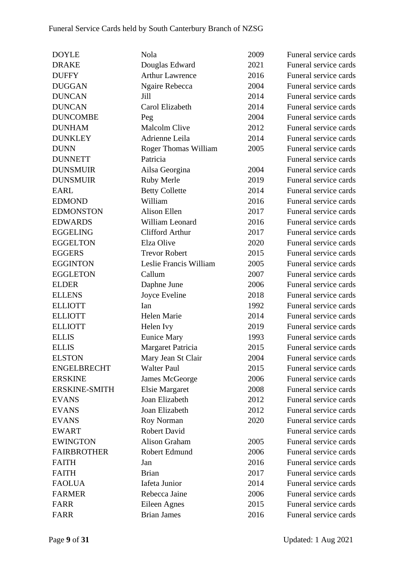| <b>DOYLE</b>         | Nola                        | 2009 | Funeral service cards |
|----------------------|-----------------------------|------|-----------------------|
| <b>DRAKE</b>         | Douglas Edward              | 2021 | Funeral service cards |
| <b>DUFFY</b>         | <b>Arthur Lawrence</b>      | 2016 | Funeral service cards |
| <b>DUGGAN</b>        | Ngaire Rebecca              | 2004 | Funeral service cards |
| <b>DUNCAN</b>        | Jill                        | 2014 | Funeral service cards |
| <b>DUNCAN</b>        | Carol Elizabeth             | 2014 | Funeral service cards |
| <b>DUNCOMBE</b>      | Peg                         | 2004 | Funeral service cards |
| <b>DUNHAM</b>        | <b>Malcolm Clive</b>        | 2012 | Funeral service cards |
| <b>DUNKLEY</b>       | Adrienne Leila              | 2014 | Funeral service cards |
| <b>DUNN</b>          | <b>Roger Thomas William</b> | 2005 | Funeral service cards |
| <b>DUNNETT</b>       | Patricia                    |      | Funeral service cards |
| <b>DUNSMUIR</b>      | Ailsa Georgina              | 2004 | Funeral service cards |
| <b>DUNSMUIR</b>      | <b>Ruby Merle</b>           | 2019 | Funeral service cards |
| <b>EARL</b>          | <b>Betty Collette</b>       | 2014 | Funeral service cards |
| <b>EDMOND</b>        | William                     | 2016 | Funeral service cards |
| <b>EDMONSTON</b>     | <b>Alison Ellen</b>         | 2017 | Funeral service cards |
| <b>EDWARDS</b>       | William Leonard             | 2016 | Funeral service cards |
| <b>EGGELING</b>      | <b>Clifford Arthur</b>      | 2017 | Funeral service cards |
| <b>EGGELTON</b>      | Elza Olive                  | 2020 | Funeral service cards |
| <b>EGGERS</b>        | <b>Trevor Robert</b>        | 2015 | Funeral service cards |
| <b>EGGINTON</b>      | Leslie Francis William      | 2005 | Funeral service cards |
| <b>EGGLETON</b>      | Callum                      | 2007 | Funeral service cards |
| <b>ELDER</b>         | Daphne June                 | 2006 | Funeral service cards |
| <b>ELLENS</b>        | Joyce Eveline               | 2018 | Funeral service cards |
| <b>ELLIOTT</b>       | Ian                         | 1992 | Funeral service cards |
| <b>ELLIOTT</b>       | Helen Marie                 | 2014 | Funeral service cards |
| <b>ELLIOTT</b>       | Helen Ivy                   | 2019 | Funeral service cards |
| <b>ELLIS</b>         | <b>Eunice Mary</b>          | 1993 | Funeral service cards |
| <b>ELLIS</b>         | Margaret Patricia           | 2015 | Funeral service cards |
| <b>ELSTON</b>        | Mary Jean St Clair          | 2004 | Funeral service cards |
| <b>ENGELBRECHT</b>   | <b>Walter Paul</b>          | 2015 | Funeral service cards |
| <b>ERSKINE</b>       | James McGeorge              | 2006 | Funeral service cards |
| <b>ERSKINE-SMITH</b> | <b>Elsie Margaret</b>       | 2008 | Funeral service cards |
| <b>EVANS</b>         | Joan Elizabeth              | 2012 | Funeral service cards |
| <b>EVANS</b>         | Joan Elizabeth              | 2012 | Funeral service cards |
| <b>EVANS</b>         | Roy Norman                  | 2020 | Funeral service cards |
| <b>EWART</b>         | <b>Robert David</b>         |      | Funeral service cards |
| <b>EWINGTON</b>      | <b>Alison Graham</b>        | 2005 | Funeral service cards |
| <b>FAIRBROTHER</b>   | Robert Edmund               | 2006 | Funeral service cards |
| <b>FAITH</b>         | Jan                         | 2016 | Funeral service cards |
| <b>FAITH</b>         | <b>Brian</b>                | 2017 | Funeral service cards |
| <b>FAOLUA</b>        | Iafeta Junior               | 2014 | Funeral service cards |
| <b>FARMER</b>        | Rebecca Jaine               | 2006 | Funeral service cards |
| <b>FARR</b>          | Eileen Agnes                | 2015 | Funeral service cards |
| <b>FARR</b>          | <b>Brian James</b>          | 2016 | Funeral service cards |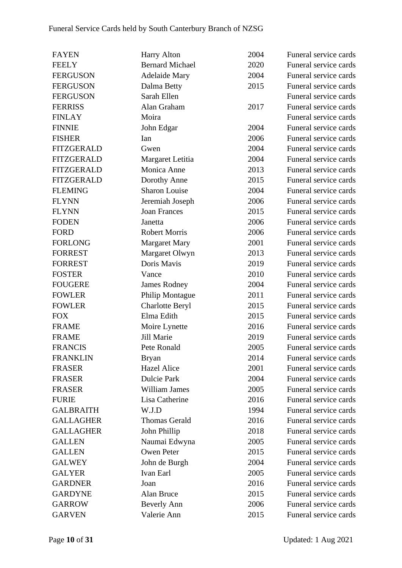| <b>FAYEN</b>      | <b>Harry Alton</b>     | 2004 | Funeral service cards |
|-------------------|------------------------|------|-----------------------|
| <b>FEELY</b>      | <b>Bernard Michael</b> | 2020 | Funeral service cards |
| <b>FERGUSON</b>   | <b>Adelaide Mary</b>   | 2004 | Funeral service cards |
| <b>FERGUSON</b>   | Dalma Betty            | 2015 | Funeral service cards |
| <b>FERGUSON</b>   | Sarah Ellen            |      | Funeral service cards |
| <b>FERRISS</b>    | Alan Graham            | 2017 | Funeral service cards |
| <b>FINLAY</b>     | Moira                  |      | Funeral service cards |
| <b>FINNIE</b>     | John Edgar             | 2004 | Funeral service cards |
| <b>FISHER</b>     | Ian                    | 2006 | Funeral service cards |
| <b>FITZGERALD</b> | Gwen                   | 2004 | Funeral service cards |
| <b>FITZGERALD</b> | Margaret Letitia       | 2004 | Funeral service cards |
| <b>FITZGERALD</b> | Monica Anne            | 2013 | Funeral service cards |
| <b>FITZGERALD</b> | Dorothy Anne           | 2015 | Funeral service cards |
| <b>FLEMING</b>    | <b>Sharon Louise</b>   | 2004 | Funeral service cards |
| <b>FLYNN</b>      | Jeremiah Joseph        | 2006 | Funeral service cards |
| <b>FLYNN</b>      | <b>Joan Frances</b>    | 2015 | Funeral service cards |
| <b>FODEN</b>      | Janetta                | 2006 | Funeral service cards |
| <b>FORD</b>       | <b>Robert Morris</b>   | 2006 | Funeral service cards |
| <b>FORLONG</b>    | <b>Margaret Mary</b>   | 2001 | Funeral service cards |
| <b>FORREST</b>    | Margaret Olwyn         | 2013 | Funeral service cards |
| <b>FORREST</b>    | Doris Mavis            | 2019 | Funeral service cards |
| <b>FOSTER</b>     | Vance                  | 2010 | Funeral service cards |
| <b>FOUGERE</b>    | <b>James Rodney</b>    | 2004 | Funeral service cards |
| <b>FOWLER</b>     | <b>Philip Montague</b> | 2011 | Funeral service cards |
| <b>FOWLER</b>     | <b>Charlotte Beryl</b> | 2015 | Funeral service cards |
| <b>FOX</b>        | Elma Edith             | 2015 | Funeral service cards |
| <b>FRAME</b>      | Moire Lynette          | 2016 | Funeral service cards |
| <b>FRAME</b>      | Jill Marie             | 2019 | Funeral service cards |
| <b>FRANCIS</b>    | Pete Ronald            | 2005 | Funeral service cards |
| <b>FRANKLIN</b>   | <b>Bryan</b>           | 2014 | Funeral service cards |
| <b>FRASER</b>     | <b>Hazel Alice</b>     | 2001 | Funeral service cards |
| <b>FRASER</b>     | <b>Dulcie Park</b>     | 2004 | Funeral service cards |
| <b>FRASER</b>     | <b>William James</b>   | 2005 | Funeral service cards |
| <b>FURIE</b>      | Lisa Catherine         | 2016 | Funeral service cards |
| <b>GALBRAITH</b>  | W.J.D                  | 1994 | Funeral service cards |
| <b>GALLAGHER</b>  | <b>Thomas Gerald</b>   | 2016 | Funeral service cards |
| <b>GALLAGHER</b>  | John Phillip           | 2018 | Funeral service cards |
| <b>GALLEN</b>     | Naumai Edwyna          | 2005 | Funeral service cards |
| <b>GALLEN</b>     | Owen Peter             | 2015 | Funeral service cards |
| <b>GALWEY</b>     | John de Burgh          | 2004 | Funeral service cards |
| <b>GALYER</b>     | Ivan Earl              | 2005 | Funeral service cards |
| <b>GARDNER</b>    | Joan                   | 2016 | Funeral service cards |
| <b>GARDYNE</b>    | Alan Bruce             | 2015 | Funeral service cards |
| <b>GARROW</b>     | <b>Beverly Ann</b>     | 2006 | Funeral service cards |
| <b>GARVEN</b>     | Valerie Ann            | 2015 | Funeral service cards |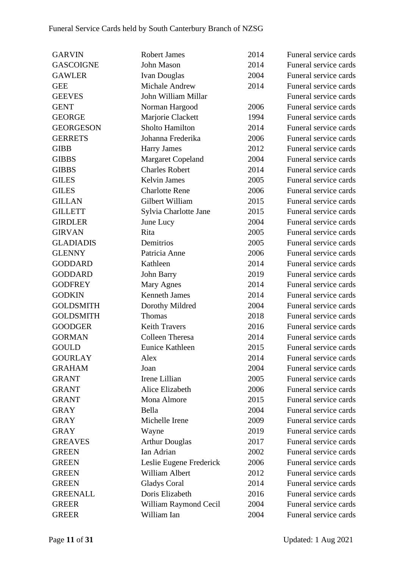| <b>GARVIN</b>    | <b>Robert James</b>      | 2014 | Funeral service cards |
|------------------|--------------------------|------|-----------------------|
| <b>GASCOIGNE</b> | John Mason               | 2014 | Funeral service cards |
| <b>GAWLER</b>    | <b>Ivan Douglas</b>      | 2004 | Funeral service cards |
| <b>GEE</b>       | Michale Andrew           | 2014 | Funeral service cards |
| <b>GEEVES</b>    | John William Millar      |      | Funeral service cards |
| <b>GENT</b>      | Norman Hargood           | 2006 | Funeral service cards |
| <b>GEORGE</b>    | Marjorie Clackett        | 1994 | Funeral service cards |
| <b>GEORGESON</b> | <b>Sholto Hamilton</b>   | 2014 | Funeral service cards |
| <b>GERRETS</b>   | Johanna Frederika        | 2006 | Funeral service cards |
| <b>GIBB</b>      | <b>Harry James</b>       | 2012 | Funeral service cards |
| <b>GIBBS</b>     | <b>Margaret Copeland</b> | 2004 | Funeral service cards |
| <b>GIBBS</b>     | <b>Charles Robert</b>    | 2014 | Funeral service cards |
| <b>GILES</b>     | <b>Kelvin James</b>      | 2005 | Funeral service cards |
| <b>GILES</b>     | <b>Charlotte Rene</b>    | 2006 | Funeral service cards |
| <b>GILLAN</b>    | Gilbert William          | 2015 | Funeral service cards |
| <b>GILLETT</b>   | Sylvia Charlotte Jane    | 2015 | Funeral service cards |
| <b>GIRDLER</b>   | June Lucy                | 2004 | Funeral service cards |
| <b>GIRVAN</b>    | Rita                     | 2005 | Funeral service cards |
| <b>GLADIADIS</b> | Demitrios                | 2005 | Funeral service cards |
| <b>GLENNY</b>    | Patricia Anne            | 2006 | Funeral service cards |
| <b>GODDARD</b>   | Kathleen                 | 2014 | Funeral service cards |
| <b>GODDARD</b>   | John Barry               | 2019 | Funeral service cards |
| <b>GODFREY</b>   | Mary Agnes               | 2014 | Funeral service cards |
| <b>GODKIN</b>    | <b>Kenneth James</b>     | 2014 | Funeral service cards |
| <b>GOLDSMITH</b> | Dorothy Mildred          | 2004 | Funeral service cards |
| <b>GOLDSMITH</b> | Thomas                   | 2018 | Funeral service cards |
| <b>GOODGER</b>   | <b>Keith Travers</b>     | 2016 | Funeral service cards |
| <b>GORMAN</b>    | <b>Colleen Theresa</b>   | 2014 | Funeral service cards |
| <b>GOULD</b>     | <b>Eunice Kathleen</b>   | 2015 | Funeral service cards |
| <b>GOURLAY</b>   | Alex                     | 2014 | Funeral service cards |
| <b>GRAHAM</b>    | Joan                     | 2004 | Funeral service cards |
| <b>GRANT</b>     | Irene Lillian            | 2005 | Funeral service cards |
| <b>GRANT</b>     | Alice Elizabeth          | 2006 | Funeral service cards |
| <b>GRANT</b>     | Mona Almore              | 2015 | Funeral service cards |
| <b>GRAY</b>      | Bella                    | 2004 | Funeral service cards |
| <b>GRAY</b>      | Michelle Irene           | 2009 | Funeral service cards |
| <b>GRAY</b>      | Wayne                    | 2019 | Funeral service cards |
| <b>GREAVES</b>   | <b>Arthur Douglas</b>    | 2017 | Funeral service cards |
| <b>GREEN</b>     | Ian Adrian               | 2002 | Funeral service cards |
| <b>GREEN</b>     | Leslie Eugene Frederick  | 2006 | Funeral service cards |
| <b>GREEN</b>     | William Albert           | 2012 | Funeral service cards |
| <b>GREEN</b>     | <b>Gladys Coral</b>      | 2014 | Funeral service cards |
| <b>GREENALL</b>  | Doris Elizabeth          | 2016 | Funeral service cards |
| <b>GREER</b>     | William Raymond Cecil    | 2004 | Funeral service cards |
| <b>GREER</b>     | William Ian              | 2004 | Funeral service cards |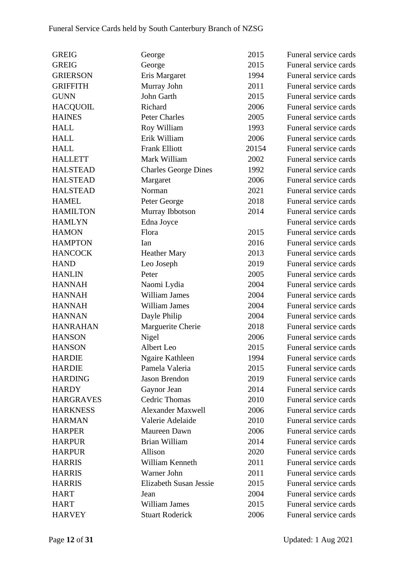| <b>GREIG</b>     | George                      | 2015  | Funeral service cards |
|------------------|-----------------------------|-------|-----------------------|
| <b>GREIG</b>     | George                      | 2015  | Funeral service cards |
| <b>GRIERSON</b>  | Eris Margaret               | 1994  | Funeral service cards |
| <b>GRIFFITH</b>  | Murray John                 | 2011  | Funeral service cards |
| <b>GUNN</b>      | John Garth                  | 2015  | Funeral service cards |
| <b>HACQUOIL</b>  | Richard                     | 2006  | Funeral service cards |
| <b>HAINES</b>    | <b>Peter Charles</b>        | 2005  | Funeral service cards |
| <b>HALL</b>      | Roy William                 | 1993  | Funeral service cards |
| <b>HALL</b>      | Erik William                | 2006  | Funeral service cards |
| <b>HALL</b>      | <b>Frank Elliott</b>        | 20154 | Funeral service cards |
| <b>HALLETT</b>   | Mark William                | 2002  | Funeral service cards |
| <b>HALSTEAD</b>  | <b>Charles George Dines</b> | 1992  | Funeral service cards |
| <b>HALSTEAD</b>  | Margaret                    | 2006  | Funeral service cards |
| <b>HALSTEAD</b>  | Norman                      | 2021  | Funeral service cards |
| <b>HAMEL</b>     | Peter George                | 2018  | Funeral service cards |
| <b>HAMILTON</b>  | Murray Ibbotson             | 2014  | Funeral service cards |
| <b>HAMLYN</b>    | Edna Joyce                  |       | Funeral service cards |
| <b>HAMON</b>     | Flora                       | 2015  | Funeral service cards |
| <b>HAMPTON</b>   | Ian                         | 2016  | Funeral service cards |
| <b>HANCOCK</b>   | <b>Heather Mary</b>         | 2013  | Funeral service cards |
| <b>HAND</b>      | Leo Joseph                  | 2019  | Funeral service cards |
| <b>HANLIN</b>    | Peter                       | 2005  | Funeral service cards |
| <b>HANNAH</b>    | Naomi Lydia                 | 2004  | Funeral service cards |
| <b>HANNAH</b>    | <b>William James</b>        | 2004  | Funeral service cards |
| <b>HANNAH</b>    | <b>William James</b>        | 2004  | Funeral service cards |
| <b>HANNAN</b>    | Dayle Philip                | 2004  | Funeral service cards |
| <b>HANRAHAN</b>  | Marguerite Cherie           | 2018  | Funeral service cards |
| <b>HANSON</b>    | Nigel                       | 2006  | Funeral service cards |
| <b>HANSON</b>    | Albert Leo                  | 2015  | Funeral service cards |
| <b>HARDIE</b>    | Ngaire Kathleen             | 1994  | Funeral service cards |
| <b>HARDIE</b>    | Pamela Valeria              | 2015  | Funeral service cards |
| <b>HARDING</b>   | Jason Brendon               | 2019  | Funeral service cards |
| <b>HARDY</b>     | Gaynor Jean                 | 2014  | Funeral service cards |
| <b>HARGRAVES</b> | Cedric Thomas               | 2010  | Funeral service cards |
| <b>HARKNESS</b>  | <b>Alexander Maxwell</b>    | 2006  | Funeral service cards |
| <b>HARMAN</b>    | Valerie Adelaide            | 2010  | Funeral service cards |
| <b>HARPER</b>    | Maureen Dawn                | 2006  | Funeral service cards |
| <b>HARPUR</b>    | Brian William               | 2014  | Funeral service cards |
| <b>HARPUR</b>    | Allison                     | 2020  | Funeral service cards |
| <b>HARRIS</b>    | William Kenneth             | 2011  | Funeral service cards |
| <b>HARRIS</b>    | Warner John                 | 2011  | Funeral service cards |
| <b>HARRIS</b>    | Elizabeth Susan Jessie      | 2015  | Funeral service cards |
| <b>HART</b>      | Jean                        | 2004  | Funeral service cards |
| <b>HART</b>      | William James               | 2015  | Funeral service cards |
| <b>HARVEY</b>    | <b>Stuart Roderick</b>      | 2006  | Funeral service cards |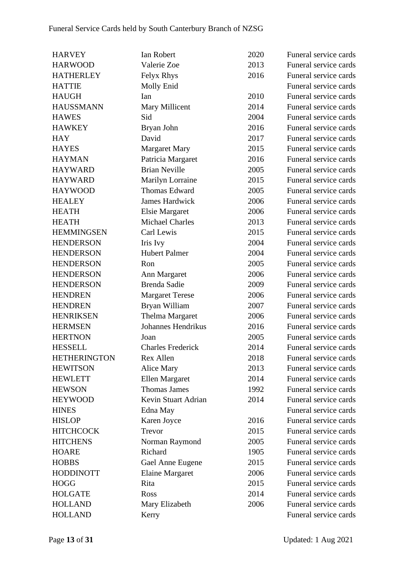| <b>HARVEY</b>       | Ian Robert                | 2020 | Funeral service cards |
|---------------------|---------------------------|------|-----------------------|
| <b>HARWOOD</b>      | Valerie Zoe               | 2013 | Funeral service cards |
| <b>HATHERLEY</b>    | Felyx Rhys                | 2016 | Funeral service cards |
| <b>HATTIE</b>       | Molly Enid                |      | Funeral service cards |
| <b>HAUGH</b>        | Ian                       | 2010 | Funeral service cards |
| <b>HAUSSMANN</b>    | Mary Millicent            | 2014 | Funeral service cards |
| <b>HAWES</b>        | Sid                       | 2004 | Funeral service cards |
| <b>HAWKEY</b>       | Bryan John                | 2016 | Funeral service cards |
| <b>HAY</b>          | David                     | 2017 | Funeral service cards |
| <b>HAYES</b>        | Margaret Mary             | 2015 | Funeral service cards |
| <b>HAYMAN</b>       | Patricia Margaret         | 2016 | Funeral service cards |
| <b>HAYWARD</b>      | <b>Brian Neville</b>      | 2005 | Funeral service cards |
| <b>HAYWARD</b>      | Marilyn Lorraine          | 2015 | Funeral service cards |
| <b>HAYWOOD</b>      | Thomas Edward             | 2005 | Funeral service cards |
| <b>HEALEY</b>       | <b>James Hardwick</b>     | 2006 | Funeral service cards |
| <b>HEATH</b>        | <b>Elsie Margaret</b>     | 2006 | Funeral service cards |
| <b>HEATH</b>        | <b>Michael Charles</b>    | 2013 | Funeral service cards |
| <b>HEMMINGSEN</b>   | Carl Lewis                | 2015 | Funeral service cards |
| <b>HENDERSON</b>    | Iris Ivy                  | 2004 | Funeral service cards |
| <b>HENDERSON</b>    | <b>Hubert Palmer</b>      | 2004 | Funeral service cards |
| <b>HENDERSON</b>    | Ron                       | 2005 | Funeral service cards |
| <b>HENDERSON</b>    | Ann Margaret              | 2006 | Funeral service cards |
| <b>HENDERSON</b>    | Brenda Sadie              | 2009 | Funeral service cards |
| <b>HENDREN</b>      | <b>Margaret Terese</b>    | 2006 | Funeral service cards |
| <b>HENDREN</b>      | Bryan William             | 2007 | Funeral service cards |
| <b>HENRIKSEN</b>    | Thelma Margaret           | 2006 | Funeral service cards |
| <b>HERMSEN</b>      | <b>Johannes Hendrikus</b> | 2016 | Funeral service cards |
| <b>HERTNON</b>      | Joan                      | 2005 | Funeral service cards |
| <b>HESSELL</b>      | <b>Charles Frederick</b>  | 2014 | Funeral service cards |
| <b>HETHERINGTON</b> | Rex Allen                 | 2018 | Funeral service cards |
| <b>HEWITSON</b>     | Alice Mary                | 2013 | Funeral service cards |
| <b>HEWLETT</b>      | Ellen Margaret            | 2014 | Funeral service cards |
| <b>HEWSON</b>       | <b>Thomas James</b>       | 1992 | Funeral service cards |
| <b>HEYWOOD</b>      | Kevin Stuart Adrian       | 2014 | Funeral service cards |
| <b>HINES</b>        | Edna May                  |      | Funeral service cards |
| <b>HISLOP</b>       | Karen Joyce               | 2016 | Funeral service cards |
| <b>HITCHCOCK</b>    | Trevor                    | 2015 | Funeral service cards |
| <b>HITCHENS</b>     | Norman Raymond            | 2005 | Funeral service cards |
| <b>HOARE</b>        | Richard                   | 1905 | Funeral service cards |
| <b>HOBBS</b>        | Gael Anne Eugene          | 2015 | Funeral service cards |
| <b>HODDINOTT</b>    | <b>Elaine Margaret</b>    | 2006 | Funeral service cards |
| <b>HOGG</b>         | Rita                      | 2015 | Funeral service cards |
| <b>HOLGATE</b>      | Ross                      | 2014 | Funeral service cards |
| <b>HOLLAND</b>      | Mary Elizabeth            | 2006 | Funeral service cards |
| <b>HOLLAND</b>      | Kerry                     |      | Funeral service cards |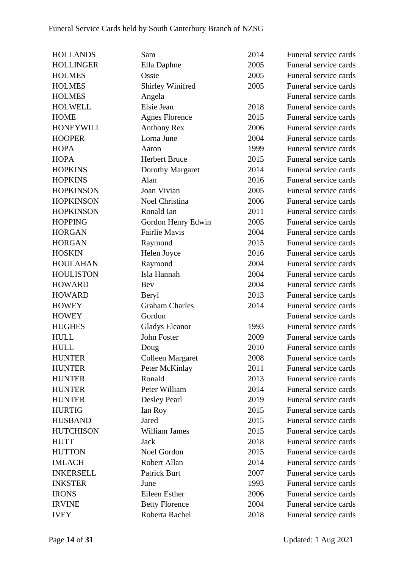| <b>HOLLANDS</b>  | Sam                     | 2014 | Funeral service cards |
|------------------|-------------------------|------|-----------------------|
| <b>HOLLINGER</b> | Ella Daphne             | 2005 | Funeral service cards |
| <b>HOLMES</b>    | Ossie                   | 2005 | Funeral service cards |
| <b>HOLMES</b>    | <b>Shirley Winifred</b> | 2005 | Funeral service cards |
| <b>HOLMES</b>    | Angela                  |      | Funeral service cards |
| <b>HOLWELL</b>   | Elsie Jean              | 2018 | Funeral service cards |
| <b>HOME</b>      | <b>Agnes Florence</b>   | 2015 | Funeral service cards |
| <b>HONEYWILL</b> | <b>Anthony Rex</b>      | 2006 | Funeral service cards |
| <b>HOOPER</b>    | Lorna June              | 2004 | Funeral service cards |
| <b>HOPA</b>      | Aaron                   | 1999 | Funeral service cards |
| <b>HOPA</b>      | <b>Herbert Bruce</b>    | 2015 | Funeral service cards |
| <b>HOPKINS</b>   | Dorothy Margaret        | 2014 | Funeral service cards |
| <b>HOPKINS</b>   | Alan                    | 2016 | Funeral service cards |
| <b>HOPKINSON</b> | Joan Vivian             | 2005 | Funeral service cards |
| <b>HOPKINSON</b> | Noel Christina          | 2006 | Funeral service cards |
| <b>HOPKINSON</b> | Ronald Ian              | 2011 | Funeral service cards |
| <b>HOPPING</b>   | Gordon Henry Edwin      | 2005 | Funeral service cards |
| <b>HORGAN</b>    | <b>Fairlie Mavis</b>    | 2004 | Funeral service cards |
| <b>HORGAN</b>    | Raymond                 | 2015 | Funeral service cards |
| <b>HOSKIN</b>    | Helen Joyce             | 2016 | Funeral service cards |
| <b>HOULAHAN</b>  | Raymond                 | 2004 | Funeral service cards |
| <b>HOULISTON</b> | Isla Hannah             | 2004 | Funeral service cards |
| <b>HOWARD</b>    | Bev                     | 2004 | Funeral service cards |
| <b>HOWARD</b>    | Beryl                   | 2013 | Funeral service cards |
| <b>HOWEY</b>     | <b>Graham Charles</b>   | 2014 | Funeral service cards |
| <b>HOWEY</b>     | Gordon                  |      | Funeral service cards |
| <b>HUGHES</b>    | <b>Gladys Eleanor</b>   | 1993 | Funeral service cards |
| <b>HULL</b>      | <b>John Foster</b>      | 2009 | Funeral service cards |
| <b>HULL</b>      | Doug                    | 2010 | Funeral service cards |
| <b>HUNTER</b>    | Colleen Margaret        | 2008 | Funeral service cards |
| <b>HUNTER</b>    | Peter McKinlay          | 2011 | Funeral service cards |
| <b>HUNTER</b>    | Ronald                  | 2013 | Funeral service cards |
| <b>HUNTER</b>    | Peter William           | 2014 | Funeral service cards |
| <b>HUNTER</b>    | Desley Pearl            | 2019 | Funeral service cards |
| <b>HURTIG</b>    | Ian Roy                 | 2015 | Funeral service cards |
| <b>HUSBAND</b>   | Jared                   | 2015 | Funeral service cards |
| <b>HUTCHISON</b> | <b>William James</b>    | 2015 | Funeral service cards |
| <b>HUTT</b>      | Jack                    | 2018 | Funeral service cards |
| <b>HUTTON</b>    | Noel Gordon             | 2015 | Funeral service cards |
| <b>IMLACH</b>    | Robert Allan            | 2014 | Funeral service cards |
| <b>INKERSELL</b> | <b>Patrick Burt</b>     | 2007 | Funeral service cards |
| <b>INKSTER</b>   | June                    | 1993 | Funeral service cards |
| <b>IRONS</b>     | Eileen Esther           | 2006 | Funeral service cards |
| <b>IRVINE</b>    | <b>Betty Florence</b>   | 2004 | Funeral service cards |
| <b>IVEY</b>      | Roberta Rachel          | 2018 | Funeral service cards |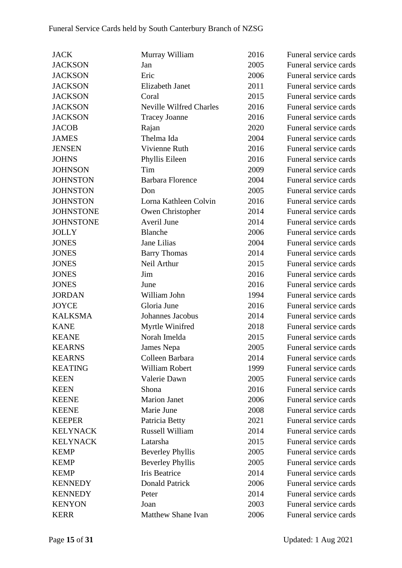| <b>JACK</b>      | Murray William                 | 2016 | Funeral service cards |
|------------------|--------------------------------|------|-----------------------|
| <b>JACKSON</b>   | Jan                            | 2005 | Funeral service cards |
| <b>JACKSON</b>   | Eric                           | 2006 | Funeral service cards |
| <b>JACKSON</b>   | <b>Elizabeth Janet</b>         | 2011 | Funeral service cards |
| <b>JACKSON</b>   | Coral                          | 2015 | Funeral service cards |
| <b>JACKSON</b>   | <b>Neville Wilfred Charles</b> | 2016 | Funeral service cards |
| <b>JACKSON</b>   | <b>Tracey Joanne</b>           | 2016 | Funeral service cards |
| <b>JACOB</b>     | Rajan                          | 2020 | Funeral service cards |
| <b>JAMES</b>     | Thelma Ida                     | 2004 | Funeral service cards |
| <b>JENSEN</b>    | Vivienne Ruth                  | 2016 | Funeral service cards |
| <b>JOHNS</b>     | Phyllis Eileen                 | 2016 | Funeral service cards |
| <b>JOHNSON</b>   | Tim                            | 2009 | Funeral service cards |
| <b>JOHNSTON</b>  | <b>Barbara Florence</b>        | 2004 | Funeral service cards |
| <b>JOHNSTON</b>  | Don                            | 2005 | Funeral service cards |
| <b>JOHNSTON</b>  | Lorna Kathleen Colvin          | 2016 | Funeral service cards |
| <b>JOHNSTONE</b> | Owen Christopher               | 2014 | Funeral service cards |
| <b>JOHNSTONE</b> | Averil June                    | 2014 | Funeral service cards |
| <b>JOLLY</b>     | <b>Blanche</b>                 | 2006 | Funeral service cards |
| <b>JONES</b>     | Jane Lilias                    | 2004 | Funeral service cards |
| <b>JONES</b>     | <b>Barry Thomas</b>            | 2014 | Funeral service cards |
| <b>JONES</b>     | Neil Arthur                    | 2015 | Funeral service cards |
| <b>JONES</b>     | Jim                            | 2016 | Funeral service cards |
| <b>JONES</b>     | June                           | 2016 | Funeral service cards |
| <b>JORDAN</b>    | William John                   | 1994 | Funeral service cards |
| <b>JOYCE</b>     | Gloria June                    | 2016 | Funeral service cards |
| <b>KALKSMA</b>   | Johannes Jacobus               | 2014 | Funeral service cards |
| <b>KANE</b>      | Myrtle Winifred                | 2018 | Funeral service cards |
| <b>KEANE</b>     | Norah Imelda                   | 2015 | Funeral service cards |
| <b>KEARNS</b>    | James Nepa                     | 2005 | Funeral service cards |
| <b>KEARNS</b>    | Colleen Barbara                | 2014 | Funeral service cards |
| <b>KEATING</b>   | <b>William Robert</b>          | 1999 | Funeral service cards |
| <b>KEEN</b>      | Valerie Dawn                   | 2005 | Funeral service cards |
| <b>KEEN</b>      | Shona                          | 2016 | Funeral service cards |
| <b>KEENE</b>     | <b>Marion Janet</b>            | 2006 | Funeral service cards |
| <b>KEENE</b>     | Marie June                     | 2008 | Funeral service cards |
| <b>KEEPER</b>    | Patricia Betty                 | 2021 | Funeral service cards |
| <b>KELYNACK</b>  | <b>Russell William</b>         | 2014 | Funeral service cards |
| <b>KELYNACK</b>  | Latarsha                       | 2015 | Funeral service cards |
| <b>KEMP</b>      | <b>Beverley Phyllis</b>        | 2005 | Funeral service cards |
| <b>KEMP</b>      | <b>Beverley Phyllis</b>        | 2005 | Funeral service cards |
| <b>KEMP</b>      | Iris Beatrice                  | 2014 | Funeral service cards |
| <b>KENNEDY</b>   | <b>Donald Patrick</b>          | 2006 | Funeral service cards |
| <b>KENNEDY</b>   | Peter                          | 2014 | Funeral service cards |
| <b>KENYON</b>    | Joan                           | 2003 | Funeral service cards |
| <b>KERR</b>      | Matthew Shane Ivan             | 2006 | Funeral service cards |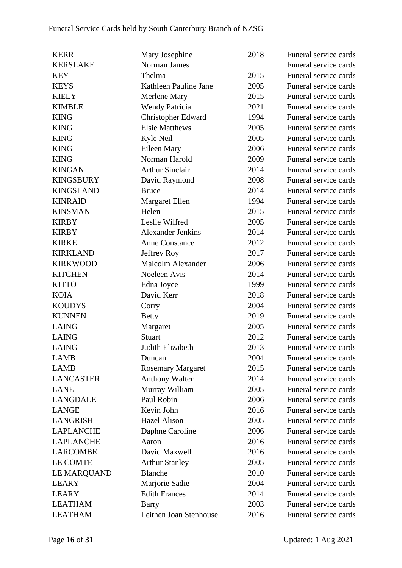| <b>KERR</b>      | Mary Josephine           | 2018 | Funeral service cards |
|------------------|--------------------------|------|-----------------------|
| <b>KERSLAKE</b>  | Norman James             |      | Funeral service cards |
| <b>KEY</b>       | Thelma                   | 2015 | Funeral service cards |
| <b>KEYS</b>      | Kathleen Pauline Jane    | 2005 | Funeral service cards |
| <b>KIELY</b>     | Merlene Mary             | 2015 | Funeral service cards |
| <b>KIMBLE</b>    | <b>Wendy Patricia</b>    | 2021 | Funeral service cards |
| <b>KING</b>      | Christopher Edward       | 1994 | Funeral service cards |
| <b>KING</b>      | <b>Elsie Matthews</b>    | 2005 | Funeral service cards |
| <b>KING</b>      | Kyle Neil                | 2005 | Funeral service cards |
| <b>KING</b>      | Eileen Mary              | 2006 | Funeral service cards |
| <b>KING</b>      | Norman Harold            | 2009 | Funeral service cards |
| <b>KINGAN</b>    | <b>Arthur Sinclair</b>   | 2014 | Funeral service cards |
| <b>KINGSBURY</b> | David Raymond            | 2008 | Funeral service cards |
| <b>KINGSLAND</b> | <b>Bruce</b>             | 2014 | Funeral service cards |
| <b>KINRAID</b>   | Margaret Ellen           | 1994 | Funeral service cards |
| <b>KINSMAN</b>   | Helen                    | 2015 | Funeral service cards |
| <b>KIRBY</b>     | Leslie Wilfred           | 2005 | Funeral service cards |
| <b>KIRBY</b>     | <b>Alexander Jenkins</b> | 2014 | Funeral service cards |
| <b>KIRKE</b>     | <b>Anne Constance</b>    | 2012 | Funeral service cards |
| <b>KIRKLAND</b>  | Jeffrey Roy              | 2017 | Funeral service cards |
| <b>KIRKWOOD</b>  | <b>Malcolm Alexander</b> | 2006 | Funeral service cards |
| <b>KITCHEN</b>   | Noeleen Avis             | 2014 | Funeral service cards |
| <b>KITTO</b>     | Edna Joyce               | 1999 | Funeral service cards |
| <b>KOIA</b>      | David Kerr               | 2018 | Funeral service cards |
| <b>KOUDYS</b>    | Corry                    | 2004 | Funeral service cards |
| <b>KUNNEN</b>    | <b>Betty</b>             | 2019 | Funeral service cards |
| <b>LAING</b>     | Margaret                 | 2005 | Funeral service cards |
| <b>LAING</b>     | Stuart                   | 2012 | Funeral service cards |
| <b>LAING</b>     | Judith Elizabeth         | 2013 | Funeral service cards |
| <b>LAMB</b>      | Duncan                   | 2004 | Funeral service cards |
| <b>LAMB</b>      | <b>Rosemary Margaret</b> | 2015 | Funeral service cards |
| <b>LANCASTER</b> | <b>Anthony Walter</b>    | 2014 | Funeral service cards |
| <b>LANE</b>      | Murray William           | 2005 | Funeral service cards |
| <b>LANGDALE</b>  | Paul Robin               | 2006 | Funeral service cards |
| <b>LANGE</b>     | Kevin John               | 2016 | Funeral service cards |
| <b>LANGRISH</b>  | <b>Hazel Alison</b>      | 2005 | Funeral service cards |
| <b>LAPLANCHE</b> | Daphne Caroline          | 2006 | Funeral service cards |
| <b>LAPLANCHE</b> | Aaron                    | 2016 | Funeral service cards |
| <b>LARCOMBE</b>  | David Maxwell            | 2016 | Funeral service cards |
| LE COMTE         | <b>Arthur Stanley</b>    | 2005 | Funeral service cards |
| LE MARQUAND      | <b>Blanche</b>           | 2010 | Funeral service cards |
| <b>LEARY</b>     | Marjorie Sadie           | 2004 | Funeral service cards |
| <b>LEARY</b>     | <b>Edith Frances</b>     | 2014 | Funeral service cards |
| <b>LEATHAM</b>   | Barry                    | 2003 | Funeral service cards |
| <b>LEATHAM</b>   | Leithen Joan Stenhouse   | 2016 | Funeral service cards |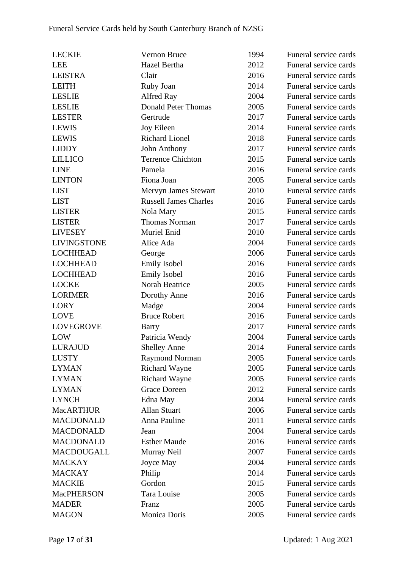| <b>LECKIE</b>      | Vernon Bruce                 | 1994 | Funeral service cards |
|--------------------|------------------------------|------|-----------------------|
| <b>LEE</b>         | Hazel Bertha                 | 2012 | Funeral service cards |
| <b>LEISTRA</b>     | Clair                        | 2016 | Funeral service cards |
| <b>LEITH</b>       | Ruby Joan                    | 2014 | Funeral service cards |
| <b>LESLIE</b>      | Alfred Ray                   | 2004 | Funeral service cards |
| <b>LESLIE</b>      | <b>Donald Peter Thomas</b>   | 2005 | Funeral service cards |
| <b>LESTER</b>      | Gertrude                     | 2017 | Funeral service cards |
| <b>LEWIS</b>       | Joy Eileen                   | 2014 | Funeral service cards |
| <b>LEWIS</b>       | <b>Richard Lionel</b>        | 2018 | Funeral service cards |
| <b>LIDDY</b>       | John Anthony                 | 2017 | Funeral service cards |
| <b>LILLICO</b>     | <b>Terrence Chichton</b>     | 2015 | Funeral service cards |
| <b>LINE</b>        | Pamela                       | 2016 | Funeral service cards |
| <b>LINTON</b>      | Fiona Joan                   | 2005 | Funeral service cards |
| <b>LIST</b>        | Mervyn James Stewart         | 2010 | Funeral service cards |
| <b>LIST</b>        | <b>Russell James Charles</b> | 2016 | Funeral service cards |
| <b>LISTER</b>      | Nola Mary                    | 2015 | Funeral service cards |
| <b>LISTER</b>      | <b>Thomas Norman</b>         | 2017 | Funeral service cards |
| <b>LIVESEY</b>     | Muriel Enid                  | 2010 | Funeral service cards |
| <b>LIVINGSTONE</b> | Alice Ada                    | 2004 | Funeral service cards |
| <b>LOCHHEAD</b>    | George                       | 2006 | Funeral service cards |
| <b>LOCHHEAD</b>    | <b>Emily Isobel</b>          | 2016 | Funeral service cards |
| <b>LOCHHEAD</b>    | <b>Emily Isobel</b>          | 2016 | Funeral service cards |
| <b>LOCKE</b>       | Norah Beatrice               | 2005 | Funeral service cards |
| <b>LORIMER</b>     | Dorothy Anne                 | 2016 | Funeral service cards |
| <b>LORY</b>        | Madge                        | 2004 | Funeral service cards |
| <b>LOVE</b>        | <b>Bruce Robert</b>          | 2016 | Funeral service cards |
| <b>LOVEGROVE</b>   | <b>Barry</b>                 | 2017 | Funeral service cards |
| LOW                | Patricia Wendy               | 2004 | Funeral service cards |
| LURAJUD            | <b>Shelley Anne</b>          | 2014 | Funeral service cards |
| <b>LUSTY</b>       | <b>Raymond Norman</b>        | 2005 | Funeral service cards |
| <b>LYMAN</b>       | <b>Richard Wayne</b>         | 2005 | Funeral service cards |
| <b>LYMAN</b>       | <b>Richard Wayne</b>         | 2005 | Funeral service cards |
| <b>LYMAN</b>       | <b>Grace Doreen</b>          | 2012 | Funeral service cards |
| <b>LYNCH</b>       | Edna May                     | 2004 | Funeral service cards |
| <b>MacARTHUR</b>   | <b>Allan Stuart</b>          | 2006 | Funeral service cards |
| <b>MACDONALD</b>   | Anna Pauline                 | 2011 | Funeral service cards |
| <b>MACDONALD</b>   | Jean                         | 2004 | Funeral service cards |
| <b>MACDONALD</b>   | <b>Esther Maude</b>          | 2016 | Funeral service cards |
| <b>MACDOUGALL</b>  | Murray Neil                  | 2007 | Funeral service cards |
| <b>MACKAY</b>      | Joyce May                    | 2004 | Funeral service cards |
| <b>MACKAY</b>      | Philip                       | 2014 | Funeral service cards |
| <b>MACKIE</b>      | Gordon                       | 2015 | Funeral service cards |
| <b>MacPHERSON</b>  | Tara Louise                  | 2005 | Funeral service cards |
| <b>MADER</b>       | Franz                        | 2005 | Funeral service cards |
| <b>MAGON</b>       | Monica Doris                 | 2005 | Funeral service cards |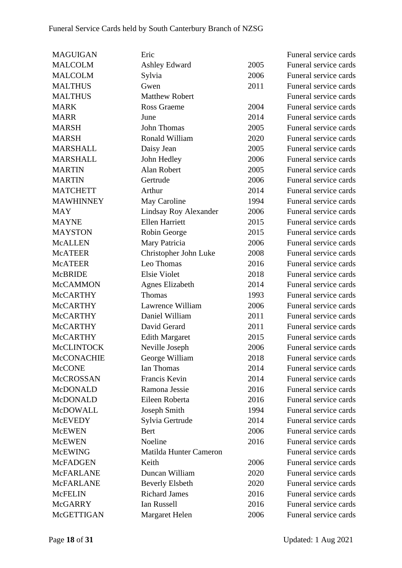| <b>MAGUIGAN</b>   | Eric                   |      | Funeral service cards |
|-------------------|------------------------|------|-----------------------|
| <b>MALCOLM</b>    | Ashley Edward          | 2005 | Funeral service cards |
| <b>MALCOLM</b>    | Sylvia                 | 2006 | Funeral service cards |
| <b>MALTHUS</b>    | Gwen                   | 2011 | Funeral service cards |
| <b>MALTHUS</b>    | <b>Matthew Robert</b>  |      | Funeral service cards |
| <b>MARK</b>       | Ross Graeme            | 2004 | Funeral service cards |
| <b>MARR</b>       | June                   | 2014 | Funeral service cards |
| <b>MARSH</b>      | John Thomas            | 2005 | Funeral service cards |
| <b>MARSH</b>      | Ronald William         | 2020 | Funeral service cards |
| <b>MARSHALL</b>   | Daisy Jean             | 2005 | Funeral service cards |
| <b>MARSHALL</b>   | John Hedley            | 2006 | Funeral service cards |
| <b>MARTIN</b>     | Alan Robert            | 2005 | Funeral service cards |
| <b>MARTIN</b>     | Gertrude               | 2006 | Funeral service cards |
| <b>MATCHETT</b>   | Arthur                 | 2014 | Funeral service cards |
| <b>MAWHINNEY</b>  | May Caroline           | 1994 | Funeral service cards |
| <b>MAY</b>        | Lindsay Roy Alexander  | 2006 | Funeral service cards |
| <b>MAYNE</b>      | <b>Ellen Harriett</b>  | 2015 | Funeral service cards |
| <b>MAYSTON</b>    | Robin George           | 2015 | Funeral service cards |
| <b>McALLEN</b>    | Mary Patricia          | 2006 | Funeral service cards |
| <b>McATEER</b>    | Christopher John Luke  | 2008 | Funeral service cards |
| <b>McATEER</b>    | Leo Thomas             | 2016 | Funeral service cards |
| <b>McBRIDE</b>    | <b>Elsie Violet</b>    | 2018 | Funeral service cards |
| <b>McCAMMON</b>   | <b>Agnes Elizabeth</b> | 2014 | Funeral service cards |
| <b>McCARTHY</b>   | Thomas                 | 1993 | Funeral service cards |
| <b>McCARTHY</b>   | Lawrence William       | 2006 | Funeral service cards |
| <b>McCARTHY</b>   | Daniel William         | 2011 | Funeral service cards |
| <b>McCARTHY</b>   | David Gerard           | 2011 | Funeral service cards |
| <b>McCARTHY</b>   | <b>Edith Margaret</b>  | 2015 | Funeral service cards |
| <b>McCLINTOCK</b> | Neville Joseph         | 2006 | Funeral service cards |
| <b>McCONACHIE</b> | George William         | 2018 | Funeral service cards |
| <b>McCONE</b>     | Ian Thomas             | 2014 | Funeral service cards |
| McCROSSAN         | Francis Kevin          | 2014 | Funeral service cards |
| McDONALD          | Ramona Jessie          | 2016 | Funeral service cards |
| <b>McDONALD</b>   | Eileen Roberta         | 2016 | Funeral service cards |
| <b>McDOWALL</b>   | Joseph Smith           | 1994 | Funeral service cards |
| <b>McEVEDY</b>    | Sylvia Gertrude        | 2014 | Funeral service cards |
| <b>McEWEN</b>     | Bert                   | 2006 | Funeral service cards |
| <b>McEWEN</b>     | Noeline                | 2016 | Funeral service cards |
| <b>McEWING</b>    | Matilda Hunter Cameron |      | Funeral service cards |
| <b>McFADGEN</b>   | Keith                  | 2006 | Funeral service cards |
| <b>McFARLANE</b>  | Duncan William         | 2020 | Funeral service cards |
| <b>McFARLANE</b>  | <b>Beverly Elsbeth</b> | 2020 | Funeral service cards |
| <b>McFELIN</b>    | <b>Richard James</b>   | 2016 | Funeral service cards |
| <b>McGARRY</b>    | <b>Ian Russell</b>     | 2016 | Funeral service cards |
| McGETTIGAN        | Margaret Helen         | 2006 | Funeral service cards |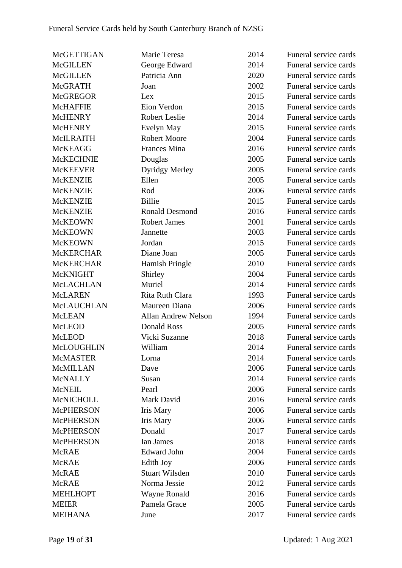| McGETTIGAN       | Marie Teresa               | 2014 | Funeral service cards |
|------------------|----------------------------|------|-----------------------|
| <b>McGILLEN</b>  | George Edward              | 2014 | Funeral service cards |
| <b>McGILLEN</b>  | Patricia Ann               | 2020 | Funeral service cards |
| <b>McGRATH</b>   | Joan                       | 2002 | Funeral service cards |
| <b>McGREGOR</b>  | Lex                        | 2015 | Funeral service cards |
| <b>McHAFFIE</b>  | Eion Verdon                | 2015 | Funeral service cards |
| <b>McHENRY</b>   | <b>Robert Leslie</b>       | 2014 | Funeral service cards |
| <b>McHENRY</b>   | Evelyn May                 | 2015 | Funeral service cards |
| McILRAITH        | <b>Robert Moore</b>        | 2004 | Funeral service cards |
| <b>McKEAGG</b>   | <b>Frances Mina</b>        | 2016 | Funeral service cards |
| <b>McKECHNIE</b> | Douglas                    | 2005 | Funeral service cards |
| <b>McKEEVER</b>  | <b>Dyridgy Merley</b>      | 2005 | Funeral service cards |
| <b>McKENZIE</b>  | Ellen                      | 2005 | Funeral service cards |
| <b>McKENZIE</b>  | Rod                        | 2006 | Funeral service cards |
| <b>McKENZIE</b>  | <b>Billie</b>              | 2015 | Funeral service cards |
| <b>McKENZIE</b>  | <b>Ronald Desmond</b>      | 2016 | Funeral service cards |
| <b>McKEOWN</b>   | <b>Robert James</b>        | 2001 | Funeral service cards |
| <b>McKEOWN</b>   | Jannette                   | 2003 | Funeral service cards |
| <b>McKEOWN</b>   | Jordan                     | 2015 | Funeral service cards |
| <b>McKERCHAR</b> | Diane Joan                 | 2005 | Funeral service cards |
| <b>McKERCHAR</b> | <b>Hamish Pringle</b>      | 2010 | Funeral service cards |
| McKNIGHT         | Shirley                    | 2004 | Funeral service cards |
| McLACHLAN        | Muriel                     | 2014 | Funeral service cards |
| <b>McLAREN</b>   | Rita Ruth Clara            | 1993 | Funeral service cards |
| McLAUCHLAN       | Maureen Diana              | 2006 | Funeral service cards |
| <b>McLEAN</b>    | <b>Allan Andrew Nelson</b> | 1994 | Funeral service cards |
| <b>McLEOD</b>    | <b>Donald Ross</b>         | 2005 | Funeral service cards |
| <b>McLEOD</b>    | Vicki Suzanne              | 2018 | Funeral service cards |
| McLOUGHLIN       | William                    | 2014 | Funeral service cards |
| <b>McMASTER</b>  | Lorna                      | 2014 | Funeral service cards |
| <b>McMILLAN</b>  | Dave                       | 2006 | Funeral service cards |
| <b>McNALLY</b>   | Susan                      | 2014 | Funeral service cards |
| <b>McNEIL</b>    | Pearl                      | 2006 | Funeral service cards |
| <b>McNICHOLL</b> | Mark David                 | 2016 | Funeral service cards |
| <b>McPHERSON</b> | <b>Iris Mary</b>           | 2006 | Funeral service cards |
| <b>McPHERSON</b> | <b>Iris Mary</b>           | 2006 | Funeral service cards |
| <b>McPHERSON</b> | Donald                     | 2017 | Funeral service cards |
| <b>McPHERSON</b> | Ian James                  | 2018 | Funeral service cards |
| <b>McRAE</b>     | <b>Edward John</b>         | 2004 | Funeral service cards |
| <b>McRAE</b>     | Edith Joy                  | 2006 | Funeral service cards |
| <b>McRAE</b>     | <b>Stuart Wilsden</b>      | 2010 | Funeral service cards |
| <b>McRAE</b>     | Norma Jessie               | 2012 | Funeral service cards |
| <b>MEHLHOPT</b>  | <b>Wayne Ronald</b>        | 2016 | Funeral service cards |
| <b>MEIER</b>     | Pamela Grace               | 2005 | Funeral service cards |
| <b>MEIHANA</b>   | June                       | 2017 | Funeral service cards |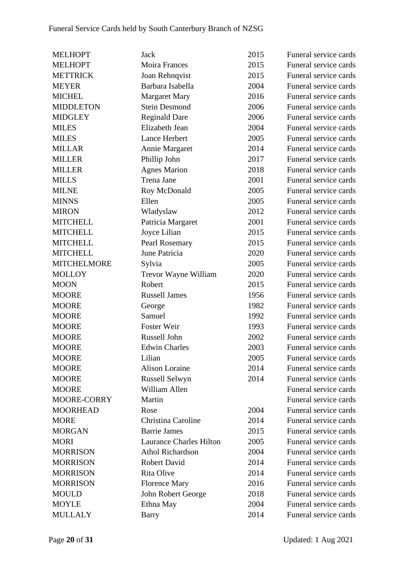| <b>MELHOPT</b>     | <b>Jack</b>                    | 2015 | Funeral service cards |
|--------------------|--------------------------------|------|-----------------------|
| <b>MELHOPT</b>     | Moira Frances                  | 2015 | Funeral service cards |
| <b>METTRICK</b>    | Joan Rehnqvist                 | 2015 | Funeral service cards |
| <b>MEYER</b>       | Barbara Isabella               | 2004 | Funeral service cards |
| <b>MICHEL</b>      | <b>Margaret Mary</b>           | 2016 | Funeral service cards |
| <b>MIDDLETON</b>   | <b>Stein Desmond</b>           | 2006 | Funeral service cards |
| <b>MIDGLEY</b>     | <b>Reginald Dare</b>           | 2006 | Funeral service cards |
| <b>MILES</b>       | Elizabeth Jean                 | 2004 | Funeral service cards |
| <b>MILES</b>       | Lance Herbert                  | 2005 | Funeral service cards |
| <b>MILLAR</b>      | Annie Margaret                 | 2014 | Funeral service cards |
| <b>MILLER</b>      | Phillip John                   | 2017 | Funeral service cards |
| <b>MILLER</b>      | <b>Agnes Marion</b>            | 2018 | Funeral service cards |
| <b>MILLS</b>       | Trena Jane                     | 2001 | Funeral service cards |
| <b>MILNE</b>       | Roy McDonald                   | 2005 | Funeral service cards |
| <b>MINNS</b>       | Ellen                          | 2005 | Funeral service cards |
| <b>MIRON</b>       | Wladyslaw                      | 2012 | Funeral service cards |
| <b>MITCHELL</b>    | Patricia Margaret              | 2001 | Funeral service cards |
| <b>MITCHELL</b>    | Joyce Lilian                   | 2015 | Funeral service cards |
| <b>MITCHELL</b>    | Pearl Rosemary                 | 2015 | Funeral service cards |
| <b>MITCHELL</b>    | June Patricia                  | 2020 | Funeral service cards |
| <b>MITCHELMORE</b> | Sylvia                         | 2005 | Funeral service cards |
| <b>MOLLOY</b>      | Trevor Wayne William           | 2020 | Funeral service cards |
| <b>MOON</b>        | Robert                         | 2015 | Funeral service cards |
| <b>MOORE</b>       | <b>Russell James</b>           | 1956 | Funeral service cards |
| <b>MOORE</b>       | George                         | 1982 | Funeral service cards |
| <b>MOORE</b>       | Samuel                         | 1992 | Funeral service cards |
| <b>MOORE</b>       | Foster Weir                    | 1993 | Funeral service cards |
| <b>MOORE</b>       | Russell John                   | 2002 | Funeral service cards |
| <b>MOORE</b>       | <b>Edwin Charles</b>           | 2003 | Funeral service cards |
| <b>MOORE</b>       | Lilian                         | 2005 | Funeral service cards |
| <b>MOORE</b>       | <b>Alison Loraine</b>          | 2014 | Funeral service cards |
| <b>MOORE</b>       | Russell Selwyn                 | 2014 | Funeral service cards |
| <b>MOORE</b>       | William Allen                  |      | Funeral service cards |
| MOORE-CORRY        | Martin                         |      | Funeral service cards |
| <b>MOORHEAD</b>    | Rose                           | 2004 | Funeral service cards |
| <b>MORE</b>        | Christina Caroline             | 2014 | Funeral service cards |
| <b>MORGAN</b>      | <b>Barrie James</b>            | 2015 | Funeral service cards |
| <b>MORI</b>        | <b>Laurance Charles Hilton</b> | 2005 | Funeral service cards |
| <b>MORRISON</b>    | Athol Richardson               | 2004 | Funeral service cards |
| <b>MORRISON</b>    | Robert David                   | 2014 | Funeral service cards |
| <b>MORRISON</b>    | Rita Olive                     | 2014 | Funeral service cards |
| <b>MORRISON</b>    | <b>Florence Mary</b>           | 2016 | Funeral service cards |
| <b>MOULD</b>       | John Robert George             | 2018 | Funeral service cards |
| <b>MOYLE</b>       | Ethna May                      | 2004 | Funeral service cards |
| <b>MULLALY</b>     | <b>Barry</b>                   | 2014 | Funeral service cards |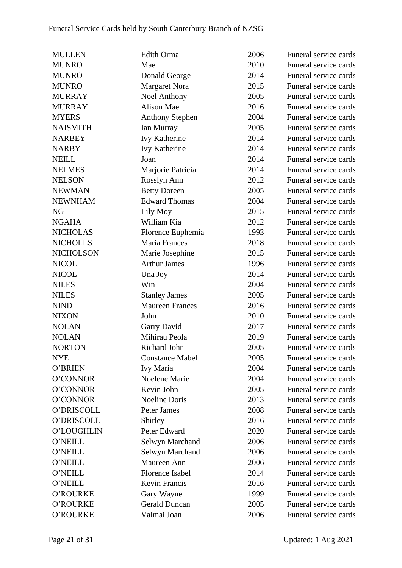| <b>MULLEN</b>    | Edith Orma             | 2006 | Funeral service cards |
|------------------|------------------------|------|-----------------------|
| <b>MUNRO</b>     | Mae                    | 2010 | Funeral service cards |
| <b>MUNRO</b>     | Donald George          | 2014 | Funeral service cards |
| <b>MUNRO</b>     | <b>Margaret Nora</b>   | 2015 | Funeral service cards |
| <b>MURRAY</b>    | <b>Noel Anthony</b>    | 2005 | Funeral service cards |
| <b>MURRAY</b>    | Alison Mae             | 2016 | Funeral service cards |
| <b>MYERS</b>     | <b>Anthony Stephen</b> | 2004 | Funeral service cards |
| <b>NAISMITH</b>  | Ian Murray             | 2005 | Funeral service cards |
| <b>NARBEY</b>    | Ivy Katherine          | 2014 | Funeral service cards |
| <b>NARBY</b>     | <b>Ivy Katherine</b>   | 2014 | Funeral service cards |
| <b>NEILL</b>     | Joan                   | 2014 | Funeral service cards |
| <b>NELMES</b>    | Marjorie Patricia      | 2014 | Funeral service cards |
| <b>NELSON</b>    | Rosslyn Ann            | 2012 | Funeral service cards |
| <b>NEWMAN</b>    | <b>Betty Doreen</b>    | 2005 | Funeral service cards |
| <b>NEWNHAM</b>   | <b>Edward Thomas</b>   | 2004 | Funeral service cards |
| NG               | Lily Moy               | 2015 | Funeral service cards |
| <b>NGAHA</b>     | William Kia            | 2012 | Funeral service cards |
| <b>NICHOLAS</b>  | Florence Euphemia      | 1993 | Funeral service cards |
| <b>NICHOLLS</b>  | Maria Frances          | 2018 | Funeral service cards |
| <b>NICHOLSON</b> | Marie Josephine        | 2015 | Funeral service cards |
| <b>NICOL</b>     | <b>Arthur James</b>    | 1996 | Funeral service cards |
| <b>NICOL</b>     | Una Joy                | 2014 | Funeral service cards |
| <b>NILES</b>     | Win                    | 2004 | Funeral service cards |
| <b>NILES</b>     | <b>Stanley James</b>   | 2005 | Funeral service cards |
| <b>NIND</b>      | <b>Maureen Frances</b> | 2016 | Funeral service cards |
| <b>NIXON</b>     | John                   | 2010 | Funeral service cards |
| <b>NOLAN</b>     | Garry David            | 2017 | Funeral service cards |
| <b>NOLAN</b>     | Mihirau Peola          | 2019 | Funeral service cards |
| <b>NORTON</b>    | Richard John           | 2005 | Funeral service cards |
| NYE              | <b>Constance Mabel</b> | 2005 | Funeral service cards |
| O'BRIEN          | Ivy Maria              | 2004 | Funeral service cards |
| O'CONNOR         | Noelene Marie          | 2004 | Funeral service cards |
| O'CONNOR         | Kevin John             | 2005 | Funeral service cards |
| O'CONNOR         | Noeline Doris          | 2013 | Funeral service cards |
| O'DRISCOLL       | Peter James            | 2008 | Funeral service cards |
| O'DRISCOLL       | Shirley                | 2016 | Funeral service cards |
| O'LOUGHLIN       | Peter Edward           | 2020 | Funeral service cards |
| O'NEILL          | Selwyn Marchand        | 2006 | Funeral service cards |
| O'NEILL          | Selwyn Marchand        | 2006 | Funeral service cards |
| O'NEILL          | Maureen Ann            | 2006 | Funeral service cards |
| O'NEILL          | Florence Isabel        | 2014 | Funeral service cards |
| O'NEILL          | Kevin Francis          | 2016 | Funeral service cards |
| O'ROURKE         | Gary Wayne             | 1999 | Funeral service cards |
| O'ROURKE         | <b>Gerald Duncan</b>   | 2005 | Funeral service cards |
| O'ROURKE         | Valmai Joan            | 2006 | Funeral service cards |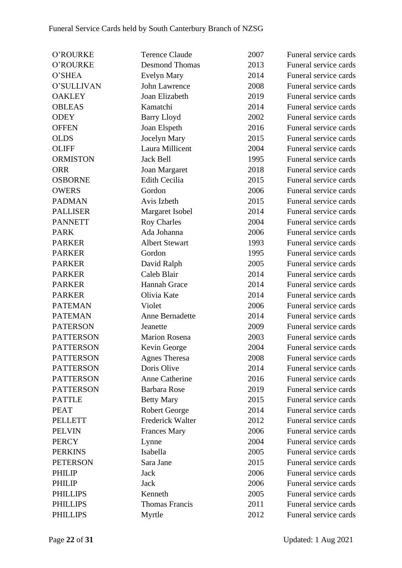| O'ROURKE         | <b>Terence Claude</b>   | 2007 | Funeral service cards |
|------------------|-------------------------|------|-----------------------|
| O'ROURKE         | <b>Desmond Thomas</b>   | 2013 | Funeral service cards |
| O'SHEA           | Evelyn Mary             | 2014 | Funeral service cards |
| O'SULLIVAN       | John Lawrence           | 2008 | Funeral service cards |
| <b>OAKLEY</b>    | Joan Elizabeth          | 2019 | Funeral service cards |
| <b>OBLEAS</b>    | Kamatchi                | 2014 | Funeral service cards |
| <b>ODEY</b>      | <b>Barry Lloyd</b>      | 2002 | Funeral service cards |
| <b>OFFEN</b>     | Joan Elspeth            | 2016 | Funeral service cards |
| <b>OLDS</b>      | Jocelyn Mary            | 2015 | Funeral service cards |
| <b>OLIFF</b>     | Laura Millicent         | 2004 | Funeral service cards |
| <b>ORMISTON</b>  | <b>Jack Bell</b>        | 1995 | Funeral service cards |
| <b>ORR</b>       | Joan Margaret           | 2018 | Funeral service cards |
| <b>OSBORNE</b>   | <b>Edith Cecilia</b>    | 2015 | Funeral service cards |
| <b>OWERS</b>     | Gordon                  | 2006 | Funeral service cards |
| <b>PADMAN</b>    | Avis Izbeth             | 2015 | Funeral service cards |
| <b>PALLISER</b>  | Margaret Isobel         | 2014 | Funeral service cards |
| <b>PANNETT</b>   | <b>Roy Charles</b>      | 2004 | Funeral service cards |
| <b>PARK</b>      | Ada Johanna             | 2006 | Funeral service cards |
| <b>PARKER</b>    | <b>Albert Stewart</b>   | 1993 | Funeral service cards |
| <b>PARKER</b>    | Gordon                  | 1995 | Funeral service cards |
| <b>PARKER</b>    | David Ralph             | 2005 | Funeral service cards |
| <b>PARKER</b>    | Caleb Blair             | 2014 | Funeral service cards |
| <b>PARKER</b>    | Hannah Grace            | 2014 | Funeral service cards |
| <b>PARKER</b>    | Olivia Kate             | 2014 | Funeral service cards |
| <b>PATEMAN</b>   | Violet                  | 2006 | Funeral service cards |
| <b>PATEMAN</b>   | Anne Bernadette         | 2014 | Funeral service cards |
| <b>PATERSON</b>  | Jeanette                | 2009 | Funeral service cards |
| <b>PATTERSON</b> | <b>Marion Rosena</b>    | 2003 | Funeral service cards |
| <b>PATTERSON</b> | Kevin George            | 2004 | Funeral service cards |
| <b>PATTERSON</b> | <b>Agnes Theresa</b>    | 2008 | Funeral service cards |
| <b>PATTERSON</b> | Doris Olive             | 2014 | Funeral service cards |
| <b>PATTERSON</b> | Anne Catherine          | 2016 | Funeral service cards |
| <b>PATTERSON</b> | <b>Barbara Rose</b>     | 2019 | Funeral service cards |
| <b>PATTLE</b>    | <b>Betty Mary</b>       | 2015 | Funeral service cards |
| <b>PEAT</b>      | Robert George           | 2014 | Funeral service cards |
| <b>PELLETT</b>   | <b>Frederick Walter</b> | 2012 | Funeral service cards |
| <b>PELVIN</b>    | <b>Frances Mary</b>     | 2006 | Funeral service cards |
| <b>PERCY</b>     | Lynne                   | 2004 | Funeral service cards |
| <b>PERKINS</b>   | Isabella                | 2005 | Funeral service cards |
| <b>PETERSON</b>  | Sara Jane               | 2015 | Funeral service cards |
| <b>PHILIP</b>    | Jack                    | 2006 | Funeral service cards |
| <b>PHILIP</b>    | Jack                    | 2006 | Funeral service cards |
| <b>PHILLIPS</b>  | Kenneth                 | 2005 | Funeral service cards |
| <b>PHILLIPS</b>  | <b>Thomas Francis</b>   | 2011 | Funeral service cards |
| <b>PHILLIPS</b>  | Myrtle                  | 2012 | Funeral service cards |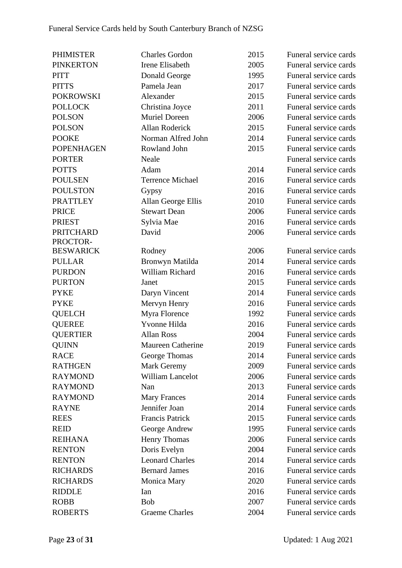| <b>PHIMISTER</b>  | <b>Charles Gordon</b>    | 2015 | Funeral service cards |
|-------------------|--------------------------|------|-----------------------|
| <b>PINKERTON</b>  | Irene Elisabeth          | 2005 | Funeral service cards |
| <b>PITT</b>       | Donald George            | 1995 | Funeral service cards |
| <b>PITTS</b>      | Pamela Jean              | 2017 | Funeral service cards |
| <b>POKROWSKI</b>  | Alexander                | 2015 | Funeral service cards |
| <b>POLLOCK</b>    | Christina Joyce          | 2011 | Funeral service cards |
| <b>POLSON</b>     | <b>Muriel Doreen</b>     | 2006 | Funeral service cards |
| <b>POLSON</b>     | <b>Allan Roderick</b>    | 2015 | Funeral service cards |
| <b>POOKE</b>      | Norman Alfred John       | 2014 | Funeral service cards |
| <b>POPENHAGEN</b> | Rowland John             | 2015 | Funeral service cards |
| <b>PORTER</b>     | Neale                    |      | Funeral service cards |
| <b>POTTS</b>      | Adam                     | 2014 | Funeral service cards |
| <b>POULSEN</b>    | <b>Terrence Michael</b>  | 2016 | Funeral service cards |
| <b>POULSTON</b>   | Gypsy                    | 2016 | Funeral service cards |
| <b>PRATTLEY</b>   | Allan George Ellis       | 2010 | Funeral service cards |
| <b>PRICE</b>      | <b>Stewart Dean</b>      | 2006 | Funeral service cards |
| <b>PRIEST</b>     | Sylvia Mae               | 2016 | Funeral service cards |
| <b>PRITCHARD</b>  | David                    | 2006 | Funeral service cards |
| PROCTOR-          |                          |      |                       |
| <b>BESWARICK</b>  | Rodney                   | 2006 | Funeral service cards |
| <b>PULLAR</b>     | Bronwyn Matilda          | 2014 | Funeral service cards |
| <b>PURDON</b>     | William Richard          | 2016 | Funeral service cards |
| <b>PURTON</b>     | Janet                    | 2015 | Funeral service cards |
| <b>PYKE</b>       | Daryn Vincent            | 2014 | Funeral service cards |
| <b>PYKE</b>       | Mervyn Henry             | 2016 | Funeral service cards |
| <b>QUELCH</b>     | Myra Florence            | 1992 | Funeral service cards |
| <b>QUEREE</b>     | Yvonne Hilda             | 2016 | Funeral service cards |
| <b>QUERTIER</b>   | <b>Allan Ross</b>        | 2004 | Funeral service cards |
| <b>QUINN</b>      | <b>Maureen Catherine</b> | 2019 | Funeral service cards |
| <b>RACE</b>       | George Thomas            | 2014 | Funeral service cards |
| <b>RATHGEN</b>    | Mark Geremy              | 2009 | Funeral service cards |
| <b>RAYMOND</b>    | William Lancelot         | 2006 | Funeral service cards |
| <b>RAYMOND</b>    | Nan                      | 2013 | Funeral service cards |
| <b>RAYMOND</b>    | <b>Mary Frances</b>      | 2014 | Funeral service cards |
| <b>RAYNE</b>      | Jennifer Joan            | 2014 | Funeral service cards |
| <b>REES</b>       | <b>Francis Patrick</b>   | 2015 | Funeral service cards |
| <b>REID</b>       | George Andrew            | 1995 | Funeral service cards |
| <b>REIHANA</b>    | <b>Henry Thomas</b>      | 2006 | Funeral service cards |
| <b>RENTON</b>     | Doris Evelyn             | 2004 | Funeral service cards |
| <b>RENTON</b>     | <b>Leonard Charles</b>   | 2014 | Funeral service cards |
| <b>RICHARDS</b>   | <b>Bernard James</b>     | 2016 | Funeral service cards |
| <b>RICHARDS</b>   | Monica Mary              | 2020 | Funeral service cards |
| <b>RIDDLE</b>     | Ian                      | 2016 | Funeral service cards |
| <b>ROBB</b>       | <b>Bob</b>               | 2007 | Funeral service cards |
| <b>ROBERTS</b>    | <b>Graeme Charles</b>    | 2004 | Funeral service cards |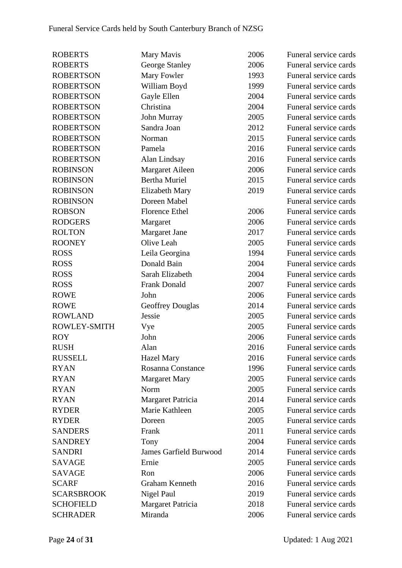| <b>ROBERTS</b>    | Mary Mavis                    | 2006 | Funeral service cards |
|-------------------|-------------------------------|------|-----------------------|
| <b>ROBERTS</b>    | George Stanley                | 2006 | Funeral service cards |
| <b>ROBERTSON</b>  | Mary Fowler                   | 1993 | Funeral service cards |
| <b>ROBERTSON</b>  | William Boyd                  | 1999 | Funeral service cards |
| <b>ROBERTSON</b>  | Gayle Ellen                   | 2004 | Funeral service cards |
| <b>ROBERTSON</b>  | Christina                     | 2004 | Funeral service cards |
| <b>ROBERTSON</b>  | John Murray                   | 2005 | Funeral service cards |
| <b>ROBERTSON</b>  | Sandra Joan                   | 2012 | Funeral service cards |
| <b>ROBERTSON</b>  | Norman                        | 2015 | Funeral service cards |
| <b>ROBERTSON</b>  | Pamela                        | 2016 | Funeral service cards |
| <b>ROBERTSON</b>  | Alan Lindsay                  | 2016 | Funeral service cards |
| <b>ROBINSON</b>   | Margaret Aileen               | 2006 | Funeral service cards |
| <b>ROBINSON</b>   | <b>Bertha Muriel</b>          | 2015 | Funeral service cards |
| <b>ROBINSON</b>   | Elizabeth Mary                | 2019 | Funeral service cards |
| <b>ROBINSON</b>   | Doreen Mabel                  |      | Funeral service cards |
| <b>ROBSON</b>     | <b>Florence Ethel</b>         | 2006 | Funeral service cards |
| <b>RODGERS</b>    | Margaret                      | 2006 | Funeral service cards |
| <b>ROLTON</b>     | <b>Margaret Jane</b>          | 2017 | Funeral service cards |
| <b>ROONEY</b>     | Olive Leah                    | 2005 | Funeral service cards |
| <b>ROSS</b>       | Leila Georgina                | 1994 | Funeral service cards |
| <b>ROSS</b>       | Donald Bain                   | 2004 | Funeral service cards |
| <b>ROSS</b>       | Sarah Elizabeth               | 2004 | Funeral service cards |
| <b>ROSS</b>       | <b>Frank Donald</b>           | 2007 | Funeral service cards |
| <b>ROWE</b>       | John                          | 2006 | Funeral service cards |
| <b>ROWE</b>       | <b>Geoffrey Douglas</b>       | 2014 | Funeral service cards |
| <b>ROWLAND</b>    | Jessie                        | 2005 | Funeral service cards |
| ROWLEY-SMITH      | Vye                           | 2005 | Funeral service cards |
| <b>ROY</b>        | John                          | 2006 | Funeral service cards |
| <b>RUSH</b>       | Alan                          | 2016 | Funeral service cards |
| <b>RUSSELL</b>    | <b>Hazel Mary</b>             | 2016 | Funeral service cards |
| <b>RYAN</b>       | <b>Rosanna Constance</b>      | 1996 | Funeral service cards |
| <b>RYAN</b>       | <b>Margaret Mary</b>          | 2005 | Funeral service cards |
| <b>RYAN</b>       | Norm                          | 2005 | Funeral service cards |
| <b>RYAN</b>       | Margaret Patricia             | 2014 | Funeral service cards |
| <b>RYDER</b>      | Marie Kathleen                | 2005 | Funeral service cards |
| <b>RYDER</b>      | Doreen                        | 2005 | Funeral service cards |
| <b>SANDERS</b>    | Frank                         | 2011 | Funeral service cards |
| <b>SANDREY</b>    | Tony                          | 2004 | Funeral service cards |
| <b>SANDRI</b>     | <b>James Garfield Burwood</b> | 2014 | Funeral service cards |
| <b>SAVAGE</b>     | Ernie                         | 2005 | Funeral service cards |
| <b>SAVAGE</b>     | Ron                           | 2006 | Funeral service cards |
| <b>SCARF</b>      | Graham Kenneth                | 2016 | Funeral service cards |
| <b>SCARSBROOK</b> | Nigel Paul                    | 2019 | Funeral service cards |
| <b>SCHOFIELD</b>  | Margaret Patricia             | 2018 | Funeral service cards |
| <b>SCHRADER</b>   | Miranda                       | 2006 | Funeral service cards |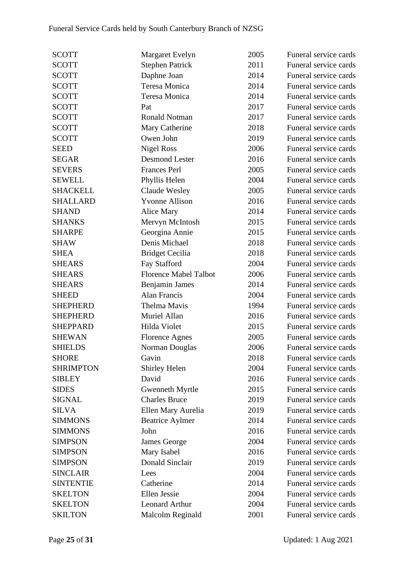| <b>SCOTT</b>     | <b>Margaret Evelyn</b>       | 2005 | Funeral service cards |
|------------------|------------------------------|------|-----------------------|
| <b>SCOTT</b>     | <b>Stephen Patrick</b>       | 2011 | Funeral service cards |
| <b>SCOTT</b>     | Daphne Joan                  | 2014 | Funeral service cards |
| <b>SCOTT</b>     | Teresa Monica                | 2014 | Funeral service cards |
| <b>SCOTT</b>     | Teresa Monica                | 2014 | Funeral service cards |
| <b>SCOTT</b>     | Pat                          | 2017 | Funeral service cards |
| <b>SCOTT</b>     | <b>Ronald Notman</b>         | 2017 | Funeral service cards |
| <b>SCOTT</b>     | Mary Catherine               | 2018 | Funeral service cards |
| <b>SCOTT</b>     | Owen John                    | 2019 | Funeral service cards |
| <b>SEED</b>      | <b>Nigel Ross</b>            | 2006 | Funeral service cards |
| <b>SEGAR</b>     | <b>Desmond Lester</b>        | 2016 | Funeral service cards |
| <b>SEVERS</b>    | <b>Frances Perl</b>          | 2005 | Funeral service cards |
| <b>SEWELL</b>    | Phyllis Helen                | 2004 | Funeral service cards |
| <b>SHACKELL</b>  | Claude Wesley                | 2005 | Funeral service cards |
| <b>SHALLARD</b>  | <b>Yvonne Allison</b>        | 2016 | Funeral service cards |
| <b>SHAND</b>     | Alice Mary                   | 2014 | Funeral service cards |
| <b>SHANKS</b>    | Mervyn McIntosh              | 2015 | Funeral service cards |
| <b>SHARPE</b>    | Georgina Annie               | 2015 | Funeral service cards |
| <b>SHAW</b>      | Denis Michael                | 2018 | Funeral service cards |
| <b>SHEA</b>      | <b>Bridget Cecilia</b>       | 2018 | Funeral service cards |
| <b>SHEARS</b>    | Fay Stafford                 | 2004 | Funeral service cards |
| <b>SHEARS</b>    | <b>Florence Mabel Talbot</b> | 2006 | Funeral service cards |
| <b>SHEARS</b>    | Benjamin James               | 2014 | Funeral service cards |
| <b>SHEED</b>     | <b>Alan Francis</b>          | 2004 | Funeral service cards |
| <b>SHEPHERD</b>  | Thelma Mavis                 | 1994 | Funeral service cards |
| <b>SHEPHERD</b>  | Muriel Allan                 | 2016 | Funeral service cards |
| <b>SHEPPARD</b>  | Hilda Violet                 | 2015 | Funeral service cards |
| <b>SHEWAN</b>    | <b>Florence Agnes</b>        | 2005 | Funeral service cards |
| <b>SHIELDS</b>   | Norman Douglas               | 2006 | Funeral service cards |
| <b>SHORE</b>     | Gavin                        | 2018 | Funeral service cards |
| <b>SHRIMPTON</b> | Shirley Helen                | 2004 | Funeral service cards |
| <b>SIBLEY</b>    | David                        | 2016 | Funeral service cards |
| <b>SIDES</b>     | Gwenneth Myrtle              | 2015 | Funeral service cards |
| <b>SIGNAL</b>    | <b>Charles Bruce</b>         | 2019 | Funeral service cards |
| <b>SILVA</b>     | Ellen Mary Aurelia           | 2019 | Funeral service cards |
| <b>SIMMONS</b>   | <b>Beatrice Aylmer</b>       | 2014 | Funeral service cards |
| <b>SIMMONS</b>   | John                         | 2016 | Funeral service cards |
| <b>SIMPSON</b>   | James George                 | 2004 | Funeral service cards |
| <b>SIMPSON</b>   | Mary Isabel                  | 2016 | Funeral service cards |
| <b>SIMPSON</b>   | Donald Sinclair              | 2019 | Funeral service cards |
| <b>SINCLAIR</b>  | Lees                         | 2004 | Funeral service cards |
| <b>SINTENTIE</b> | Catherine                    | 2014 | Funeral service cards |
| <b>SKELTON</b>   | <b>Ellen Jessie</b>          | 2004 | Funeral service cards |
| <b>SKELTON</b>   | <b>Leonard Arthur</b>        | 2004 | Funeral service cards |
| <b>SKILTON</b>   | Malcolm Reginald             | 2001 | Funeral service cards |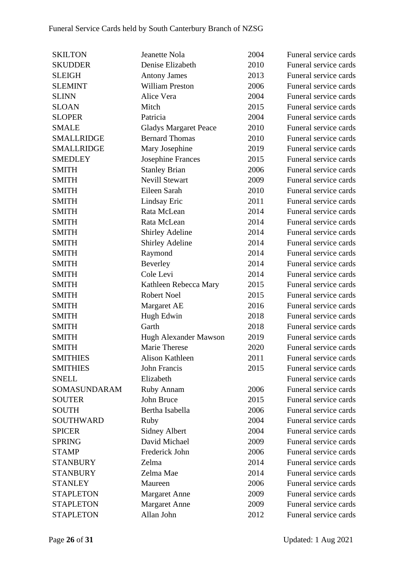| <b>SKILTON</b>    | Jeanette Nola                | 2004 | Funeral service cards |
|-------------------|------------------------------|------|-----------------------|
| <b>SKUDDER</b>    | Denise Elizabeth             | 2010 | Funeral service cards |
| <b>SLEIGH</b>     | <b>Antony James</b>          | 2013 | Funeral service cards |
| <b>SLEMINT</b>    | <b>William Preston</b>       | 2006 | Funeral service cards |
| <b>SLINN</b>      | Alice Vera                   | 2004 | Funeral service cards |
| <b>SLOAN</b>      | Mitch                        | 2015 | Funeral service cards |
| <b>SLOPER</b>     | Patricia                     | 2004 | Funeral service cards |
| <b>SMALE</b>      | <b>Gladys Margaret Peace</b> | 2010 | Funeral service cards |
| <b>SMALLRIDGE</b> | <b>Bernard Thomas</b>        | 2010 | Funeral service cards |
| <b>SMALLRIDGE</b> | Mary Josephine               | 2019 | Funeral service cards |
| <b>SMEDLEY</b>    | <b>Josephine Frances</b>     | 2015 | Funeral service cards |
| <b>SMITH</b>      | <b>Stanley Brian</b>         | 2006 | Funeral service cards |
| <b>SMITH</b>      | <b>Nevill Stewart</b>        | 2009 | Funeral service cards |
| <b>SMITH</b>      | Eileen Sarah                 | 2010 | Funeral service cards |
| <b>SMITH</b>      | Lindsay Eric                 | 2011 | Funeral service cards |
| <b>SMITH</b>      | Rata McLean                  | 2014 | Funeral service cards |
| <b>SMITH</b>      | Rata McLean                  | 2014 | Funeral service cards |
| <b>SMITH</b>      | <b>Shirley Adeline</b>       | 2014 | Funeral service cards |
| <b>SMITH</b>      | <b>Shirley Adeline</b>       | 2014 | Funeral service cards |
| <b>SMITH</b>      | Raymond                      | 2014 | Funeral service cards |
| <b>SMITH</b>      | <b>Beverley</b>              | 2014 | Funeral service cards |
| <b>SMITH</b>      | Cole Levi                    | 2014 | Funeral service cards |
| <b>SMITH</b>      | Kathleen Rebecca Mary        | 2015 | Funeral service cards |
| <b>SMITH</b>      | Robert Noel                  | 2015 | Funeral service cards |
| <b>SMITH</b>      | Margaret AE                  | 2016 | Funeral service cards |
| <b>SMITH</b>      | Hugh Edwin                   | 2018 | Funeral service cards |
| <b>SMITH</b>      | Garth                        | 2018 | Funeral service cards |
| <b>SMITH</b>      | Hugh Alexander Mawson        | 2019 | Funeral service cards |
| <b>SMITH</b>      | Marie Therese                | 2020 | Funeral service cards |
| <b>SMITHIES</b>   | Alison Kathleen              | 2011 | Funeral service cards |
| <b>SMITHIES</b>   | John Francis                 | 2015 | Funeral service cards |
| <b>SNELL</b>      | Elizabeth                    |      | Funeral service cards |
| SOMASUNDARAM      | Ruby Annam                   | 2006 | Funeral service cards |
| <b>SOUTER</b>     | John Bruce                   | 2015 | Funeral service cards |
| <b>SOUTH</b>      | Bertha Isabella              | 2006 | Funeral service cards |
| SOUTHWARD         | Ruby                         | 2004 | Funeral service cards |
| <b>SPICER</b>     | <b>Sidney Albert</b>         | 2004 | Funeral service cards |
| <b>SPRING</b>     | David Michael                | 2009 | Funeral service cards |
| <b>STAMP</b>      | Frederick John               | 2006 | Funeral service cards |
| <b>STANBURY</b>   | Zelma                        | 2014 | Funeral service cards |
| <b>STANBURY</b>   | Zelma Mae                    | 2014 | Funeral service cards |
| <b>STANLEY</b>    | Maureen                      | 2006 | Funeral service cards |
| <b>STAPLETON</b>  | <b>Margaret Anne</b>         | 2009 | Funeral service cards |
| <b>STAPLETON</b>  | <b>Margaret Anne</b>         | 2009 | Funeral service cards |
| <b>STAPLETON</b>  | Allan John                   | 2012 | Funeral service cards |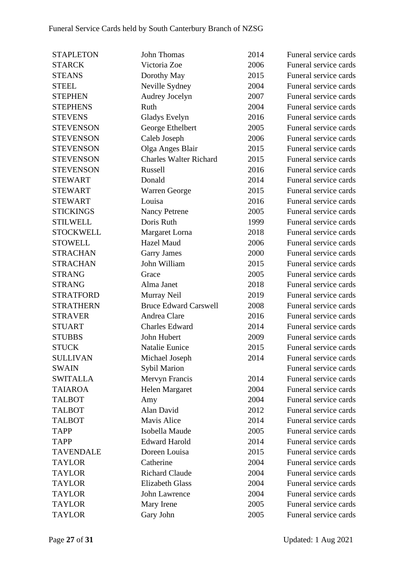| <b>STAPLETON</b> | <b>John Thomas</b>            | 2014 | Funeral service cards |
|------------------|-------------------------------|------|-----------------------|
| <b>STARCK</b>    | Victoria Zoe                  | 2006 | Funeral service cards |
| <b>STEANS</b>    | Dorothy May                   | 2015 | Funeral service cards |
| <b>STEEL</b>     | Neville Sydney                | 2004 | Funeral service cards |
| <b>STEPHEN</b>   | Audrey Jocelyn                | 2007 | Funeral service cards |
| <b>STEPHENS</b>  | Ruth                          | 2004 | Funeral service cards |
| <b>STEVENS</b>   | Gladys Evelyn                 | 2016 | Funeral service cards |
| <b>STEVENSON</b> | George Ethelbert              | 2005 | Funeral service cards |
| <b>STEVENSON</b> | Caleb Joseph                  | 2006 | Funeral service cards |
| <b>STEVENSON</b> | Olga Anges Blair              | 2015 | Funeral service cards |
| <b>STEVENSON</b> | <b>Charles Walter Richard</b> | 2015 | Funeral service cards |
| <b>STEVENSON</b> | Russell                       | 2016 | Funeral service cards |
| <b>STEWART</b>   | Donald                        | 2014 | Funeral service cards |
| <b>STEWART</b>   | <b>Warren George</b>          | 2015 | Funeral service cards |
| <b>STEWART</b>   | Louisa                        | 2016 | Funeral service cards |
| <b>STICKINGS</b> | <b>Nancy Petrene</b>          | 2005 | Funeral service cards |
| <b>STILWELL</b>  | Doris Ruth                    | 1999 | Funeral service cards |
| <b>STOCKWELL</b> | Margaret Lorna                | 2018 | Funeral service cards |
| <b>STOWELL</b>   | <b>Hazel Maud</b>             | 2006 | Funeral service cards |
| <b>STRACHAN</b>  | <b>Garry James</b>            | 2000 | Funeral service cards |
| <b>STRACHAN</b>  | John William                  | 2015 | Funeral service cards |
| <b>STRANG</b>    | Grace                         | 2005 | Funeral service cards |
| <b>STRANG</b>    | Alma Janet                    | 2018 | Funeral service cards |
| <b>STRATFORD</b> | Murray Neil                   | 2019 | Funeral service cards |
| <b>STRATHERN</b> | <b>Bruce Edward Carswell</b>  | 2008 | Funeral service cards |
| <b>STRAVER</b>   | Andrea Clare                  | 2016 | Funeral service cards |
| <b>STUART</b>    | <b>Charles Edward</b>         | 2014 | Funeral service cards |
| <b>STUBBS</b>    | John Hubert                   | 2009 | Funeral service cards |
| <b>STUCK</b>     | Natalie Eunice                | 2015 | Funeral service cards |
| <b>SULLIVAN</b>  | Michael Joseph                | 2014 | Funeral service cards |
| <b>SWAIN</b>     | <b>Sybil Marion</b>           |      | Funeral service cards |
| <b>SWITALLA</b>  | Mervyn Francis                | 2014 | Funeral service cards |
| <b>TAIAROA</b>   | Helen Margaret                | 2004 | Funeral service cards |
| <b>TALBOT</b>    | Amy                           | 2004 | Funeral service cards |
| <b>TALBOT</b>    | Alan David                    | 2012 | Funeral service cards |
| <b>TALBOT</b>    | <b>Mavis Alice</b>            | 2014 | Funeral service cards |
| <b>TAPP</b>      | Isobella Maude                | 2005 | Funeral service cards |
| <b>TAPP</b>      | <b>Edward Harold</b>          | 2014 | Funeral service cards |
| <b>TAVENDALE</b> | Doreen Louisa                 | 2015 | Funeral service cards |
| <b>TAYLOR</b>    | Catherine                     | 2004 | Funeral service cards |
| <b>TAYLOR</b>    | <b>Richard Claude</b>         | 2004 | Funeral service cards |
| <b>TAYLOR</b>    | <b>Elizabeth Glass</b>        | 2004 | Funeral service cards |
| <b>TAYLOR</b>    | <b>John Lawrence</b>          | 2004 | Funeral service cards |
| <b>TAYLOR</b>    | Mary Irene                    | 2005 | Funeral service cards |
| <b>TAYLOR</b>    | Gary John                     | 2005 | Funeral service cards |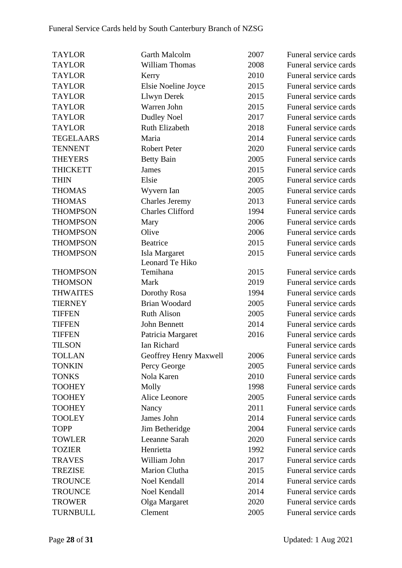| <b>TAYLOR</b>    | Garth Malcolm           | 2007 | Funeral service cards |
|------------------|-------------------------|------|-----------------------|
| <b>TAYLOR</b>    | <b>William Thomas</b>   | 2008 | Funeral service cards |
| <b>TAYLOR</b>    | Kerry                   | 2010 | Funeral service cards |
| <b>TAYLOR</b>    | Elsie Noeline Joyce     | 2015 | Funeral service cards |
| <b>TAYLOR</b>    | Llwyn Derek             | 2015 | Funeral service cards |
| <b>TAYLOR</b>    | Warren John             | 2015 | Funeral service cards |
| <b>TAYLOR</b>    | <b>Dudley Noel</b>      | 2017 | Funeral service cards |
| <b>TAYLOR</b>    | Ruth Elizabeth          | 2018 | Funeral service cards |
| <b>TEGELAARS</b> | Maria                   | 2014 | Funeral service cards |
| <b>TENNENT</b>   | <b>Robert Peter</b>     | 2020 | Funeral service cards |
| <b>THEYERS</b>   | <b>Betty Bain</b>       | 2005 | Funeral service cards |
| <b>THICKETT</b>  | <b>James</b>            | 2015 | Funeral service cards |
| <b>THIN</b>      | Elsie                   | 2005 | Funeral service cards |
| <b>THOMAS</b>    | Wyvern Ian              | 2005 | Funeral service cards |
| <b>THOMAS</b>    | Charles Jeremy          | 2013 | Funeral service cards |
| <b>THOMPSON</b>  | <b>Charles Clifford</b> | 1994 | Funeral service cards |
| <b>THOMPSON</b>  | Mary                    | 2006 | Funeral service cards |
| <b>THOMPSON</b>  | Olive                   | 2006 | Funeral service cards |
| <b>THOMPSON</b>  | Beatrice                | 2015 | Funeral service cards |
| <b>THOMPSON</b>  | Isla Margaret           | 2015 | Funeral service cards |
|                  | Leonard Te Hiko         |      |                       |
| <b>THOMPSON</b>  | Temihana                | 2015 | Funeral service cards |
| <b>THOMSON</b>   | Mark                    | 2019 | Funeral service cards |
| <b>THWAITES</b>  | Dorothy Rosa            | 1994 | Funeral service cards |
| <b>TIERNEY</b>   | <b>Brian Woodard</b>    | 2005 | Funeral service cards |
| <b>TIFFEN</b>    | <b>Ruth Alison</b>      | 2005 | Funeral service cards |
| <b>TIFFEN</b>    | John Bennett            | 2014 | Funeral service cards |
| <b>TIFFEN</b>    | Patricia Margaret       | 2016 | Funeral service cards |
| <b>TILSON</b>    | Ian Richard             |      | Funeral service cards |
| <b>TOLLAN</b>    | Geoffrey Henry Maxwell  | 2006 | Funeral service cards |
| <b>TONKIN</b>    | Percy George            | 2005 | Funeral service cards |
| <b>TONKS</b>     | Nola Karen              | 2010 | Funeral service cards |
| <b>TOOHEY</b>    | Molly                   | 1998 | Funeral service cards |
| <b>TOOHEY</b>    | Alice Leonore           | 2005 | Funeral service cards |
| <b>TOOHEY</b>    | Nancy                   | 2011 | Funeral service cards |
| <b>TOOLEY</b>    | James John              | 2014 | Funeral service cards |
| <b>TOPP</b>      | Jim Betheridge          | 2004 | Funeral service cards |
| <b>TOWLER</b>    | Leeanne Sarah           | 2020 | Funeral service cards |
| <b>TOZIER</b>    | Henrietta               | 1992 | Funeral service cards |
| <b>TRAVES</b>    | William John            | 2017 | Funeral service cards |
| <b>TREZISE</b>   | <b>Marion Clutha</b>    | 2015 | Funeral service cards |
| <b>TROUNCE</b>   | Noel Kendall            | 2014 | Funeral service cards |
| <b>TROUNCE</b>   | Noel Kendall            | 2014 | Funeral service cards |
| <b>TROWER</b>    | Olga Margaret           | 2020 | Funeral service cards |
| TURNBULL         | Clement                 | 2005 | Funeral service cards |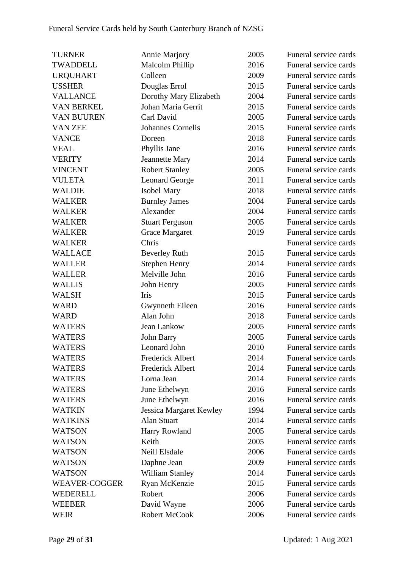| <b>TURNER</b>        | <b>Annie Marjory</b>           | 2005 | Funeral service cards |
|----------------------|--------------------------------|------|-----------------------|
| <b>TWADDELL</b>      | <b>Malcolm Phillip</b>         | 2016 | Funeral service cards |
| <b>URQUHART</b>      | Colleen                        | 2009 | Funeral service cards |
| <b>USSHER</b>        | Douglas Errol                  | 2015 | Funeral service cards |
| <b>VALLANCE</b>      | Dorothy Mary Elizabeth         | 2004 | Funeral service cards |
| <b>VAN BERKEL</b>    | Johan Maria Gerrit             | 2015 | Funeral service cards |
| <b>VAN BUUREN</b>    | Carl David                     | 2005 | Funeral service cards |
| <b>VAN ZEE</b>       | <b>Johannes Cornelis</b>       | 2015 | Funeral service cards |
| <b>VANCE</b>         | Doreen                         | 2018 | Funeral service cards |
| <b>VEAL</b>          | Phyllis Jane                   | 2016 | Funeral service cards |
| <b>VERITY</b>        | <b>Jeannette Mary</b>          | 2014 | Funeral service cards |
| <b>VINCENT</b>       | <b>Robert Stanley</b>          | 2005 | Funeral service cards |
| <b>VULETA</b>        | <b>Leonard George</b>          | 2011 | Funeral service cards |
| <b>WALDIE</b>        | <b>Isobel Mary</b>             | 2018 | Funeral service cards |
| <b>WALKER</b>        | <b>Burnley James</b>           | 2004 | Funeral service cards |
| <b>WALKER</b>        | Alexander                      | 2004 | Funeral service cards |
| <b>WALKER</b>        | <b>Stuart Ferguson</b>         | 2005 | Funeral service cards |
| <b>WALKER</b>        | <b>Grace Margaret</b>          | 2019 | Funeral service cards |
| <b>WALKER</b>        | Chris                          |      | Funeral service cards |
| <b>WALLACE</b>       | <b>Beverley Ruth</b>           | 2015 | Funeral service cards |
| <b>WALLER</b>        | <b>Stephen Henry</b>           | 2014 | Funeral service cards |
| <b>WALLER</b>        | Melville John                  | 2016 | Funeral service cards |
| <b>WALLIS</b>        | John Henry                     | 2005 | Funeral service cards |
| <b>WALSH</b>         | Iris                           | 2015 | Funeral service cards |
| <b>WARD</b>          | Gwynneth Eileen                | 2016 | Funeral service cards |
| <b>WARD</b>          | Alan John                      | 2018 | Funeral service cards |
| <b>WATERS</b>        | Jean Lankow                    | 2005 | Funeral service cards |
| <b>WATERS</b>        | John Barry                     | 2005 | Funeral service cards |
| <b>WATERS</b>        | Leonard John                   | 2010 | Funeral service cards |
| <b>WATERS</b>        | <b>Frederick Albert</b>        | 2014 | Funeral service cards |
| <b>WATERS</b>        | <b>Frederick Albert</b>        | 2014 | Funeral service cards |
| <b>WATERS</b>        | Lorna Jean                     | 2014 | Funeral service cards |
| <b>WATERS</b>        | June Ethelwyn                  | 2016 | Funeral service cards |
| <b>WATERS</b>        | June Ethelwyn                  | 2016 | Funeral service cards |
| <b>WATKIN</b>        | <b>Jessica Margaret Kewley</b> | 1994 | Funeral service cards |
| <b>WATKINS</b>       | Alan Stuart                    | 2014 | Funeral service cards |
| <b>WATSON</b>        | Harry Rowland                  | 2005 | Funeral service cards |
| <b>WATSON</b>        | Keith                          | 2005 | Funeral service cards |
| <b>WATSON</b>        | Neill Elsdale                  | 2006 | Funeral service cards |
| <b>WATSON</b>        | Daphne Jean                    | 2009 | Funeral service cards |
| <b>WATSON</b>        | <b>William Stanley</b>         | 2014 | Funeral service cards |
| <b>WEAVER-COGGER</b> | Ryan McKenzie                  | 2015 | Funeral service cards |
| WEDERELL             | Robert                         | 2006 | Funeral service cards |
| <b>WEEBER</b>        | David Wayne                    | 2006 | Funeral service cards |
| WEIR                 | Robert McCook                  | 2006 | Funeral service cards |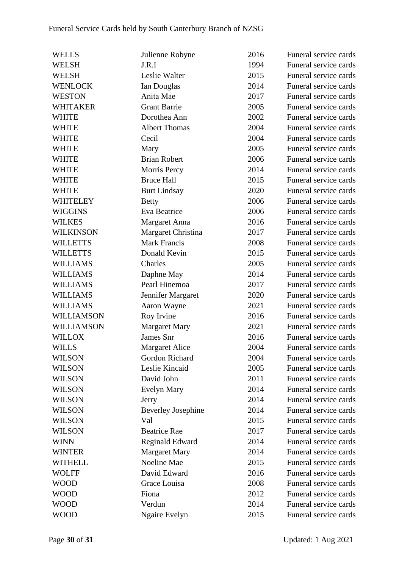| <b>WELLS</b>     | Julienne Robyne           | 2016 | Funeral service cards |
|------------------|---------------------------|------|-----------------------|
| <b>WELSH</b>     | J.R.I                     | 1994 | Funeral service cards |
| <b>WELSH</b>     | Leslie Walter             | 2015 | Funeral service cards |
| <b>WENLOCK</b>   | Ian Douglas               | 2014 | Funeral service cards |
| <b>WESTON</b>    | Anita Mae                 | 2017 | Funeral service cards |
| WHITAKER         | <b>Grant Barrie</b>       | 2005 | Funeral service cards |
| <b>WHITE</b>     | Dorothea Ann              | 2002 | Funeral service cards |
| <b>WHITE</b>     | <b>Albert Thomas</b>      | 2004 | Funeral service cards |
| <b>WHITE</b>     | Cecil                     | 2004 | Funeral service cards |
| <b>WHITE</b>     | Mary                      | 2005 | Funeral service cards |
| <b>WHITE</b>     | <b>Brian Robert</b>       | 2006 | Funeral service cards |
| <b>WHITE</b>     | Morris Percy              | 2014 | Funeral service cards |
| <b>WHITE</b>     | <b>Bruce Hall</b>         | 2015 | Funeral service cards |
| <b>WHITE</b>     | <b>Burt Lindsay</b>       | 2020 | Funeral service cards |
| WHITELEY         | <b>Betty</b>              | 2006 | Funeral service cards |
| <b>WIGGINS</b>   | Eva Beatrice              | 2006 | Funeral service cards |
| <b>WILKES</b>    | Margaret Anna             | 2016 | Funeral service cards |
| <b>WILKINSON</b> | Margaret Christina        | 2017 | Funeral service cards |
| <b>WILLETTS</b>  | <b>Mark Francis</b>       | 2008 | Funeral service cards |
| <b>WILLETTS</b>  | Donald Kevin              | 2015 | Funeral service cards |
| <b>WILLIAMS</b>  | Charles                   | 2005 | Funeral service cards |
| <b>WILLIAMS</b>  | Daphne May                | 2014 | Funeral service cards |
| <b>WILLIAMS</b>  | Pearl Hinemoa             | 2017 | Funeral service cards |
| <b>WILLIAMS</b>  | Jennifer Margaret         | 2020 | Funeral service cards |
| <b>WILLIAMS</b>  | Aaron Wayne               | 2021 | Funeral service cards |
| WILLIAMSON       | Roy Irvine                | 2016 | Funeral service cards |
| WILLIAMSON       | <b>Margaret Mary</b>      | 2021 | Funeral service cards |
| <b>WILLOX</b>    | James Snr                 | 2016 | Funeral service cards |
| <b>WILLS</b>     | <b>Margaret Alice</b>     | 2004 | Funeral service cards |
| <b>WILSON</b>    | Gordon Richard            | 2004 | Funeral service cards |
| <b>WILSON</b>    | Leslie Kincaid            | 2005 | Funeral service cards |
| <b>WILSON</b>    | David John                | 2011 | Funeral service cards |
| <b>WILSON</b>    | Evelyn Mary               | 2014 | Funeral service cards |
| <b>WILSON</b>    | Jerry                     | 2014 | Funeral service cards |
| <b>WILSON</b>    | <b>Beverley Josephine</b> | 2014 | Funeral service cards |
| <b>WILSON</b>    | Val                       | 2015 | Funeral service cards |
| <b>WILSON</b>    | <b>Beatrice Rae</b>       | 2017 | Funeral service cards |
| <b>WINN</b>      | <b>Reginald Edward</b>    | 2014 | Funeral service cards |
| <b>WINTER</b>    | <b>Margaret Mary</b>      | 2014 | Funeral service cards |
| <b>WITHELL</b>   | Noeline Mae               | 2015 | Funeral service cards |
| <b>WOLFF</b>     | David Edward              | 2016 | Funeral service cards |
| <b>WOOD</b>      | Grace Louisa              | 2008 | Funeral service cards |
| <b>WOOD</b>      | Fiona                     | 2012 | Funeral service cards |
| <b>WOOD</b>      | Verdun                    | 2014 | Funeral service cards |
| <b>WOOD</b>      | <b>Ngaire Evelyn</b>      | 2015 | Funeral service cards |